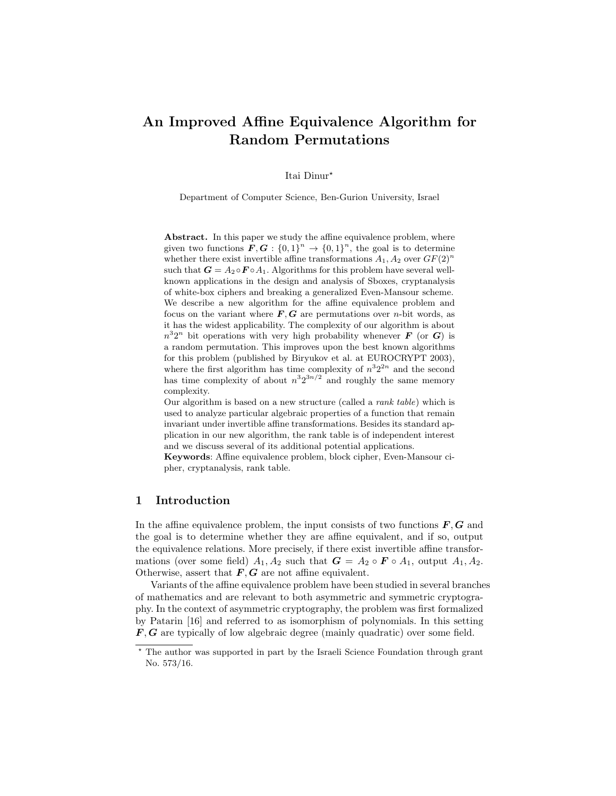# An Improved Affine Equivalence Algorithm for Random Permutations

Itai Dinur?

Department of Computer Science, Ben-Gurion University, Israel

Abstract. In this paper we study the affine equivalence problem, where given two functions  $\mathbf{F}, \mathbf{G} : \{0,1\}^n \to \{0,1\}^n$ , the goal is to determine whether there exist invertible affine transformations  $A_1, A_2$  over  $GF(2)^n$ such that  $G = A_2 \circ F \circ A_1$ . Algorithms for this problem have several wellknown applications in the design and analysis of Sboxes, cryptanalysis of white-box ciphers and breaking a generalized Even-Mansour scheme. We describe a new algorithm for the affine equivalence problem and focus on the variant where  $F, G$  are permutations over *n*-bit words, as it has the widest applicability. The complexity of our algorithm is about  $n^32^n$  bit operations with very high probability whenever **F** (or **G**) is a random permutation. This improves upon the best known algorithms for this problem (published by Biryukov et al. at EUROCRYPT 2003), where the first algorithm has time complexity of  $n^3 2^{2n}$  and the second has time complexity of about  $n^3 2^{3n/2}$  and roughly the same memory complexity.

Our algorithm is based on a new structure (called a rank table) which is used to analyze particular algebraic properties of a function that remain invariant under invertible affine transformations. Besides its standard application in our new algorithm, the rank table is of independent interest and we discuss several of its additional potential applications.

Keywords: Affine equivalence problem, block cipher, Even-Mansour cipher, cryptanalysis, rank table.

### 1 Introduction

In the affine equivalence problem, the input consists of two functions  $\bm{F}, \bm{G}$  and the goal is to determine whether they are affine equivalent, and if so, output the equivalence relations. More precisely, if there exist invertible affine transformations (over some field)  $A_1, A_2$  such that  $G = A_2 \circ F \circ A_1$ , output  $A_1, A_2$ . Otherwise, assert that  $F, G$  are not affine equivalent.

Variants of the affine equivalence problem have been studied in several branches of mathematics and are relevant to both asymmetric and symmetric cryptography. In the context of asymmetric cryptography, the problem was first formalized by Patarin [16] and referred to as isomorphism of polynomials. In this setting  $F, G$  are typically of low algebraic degree (mainly quadratic) over some field.

<sup>?</sup> The author was supported in part by the Israeli Science Foundation through grant No. 573/16.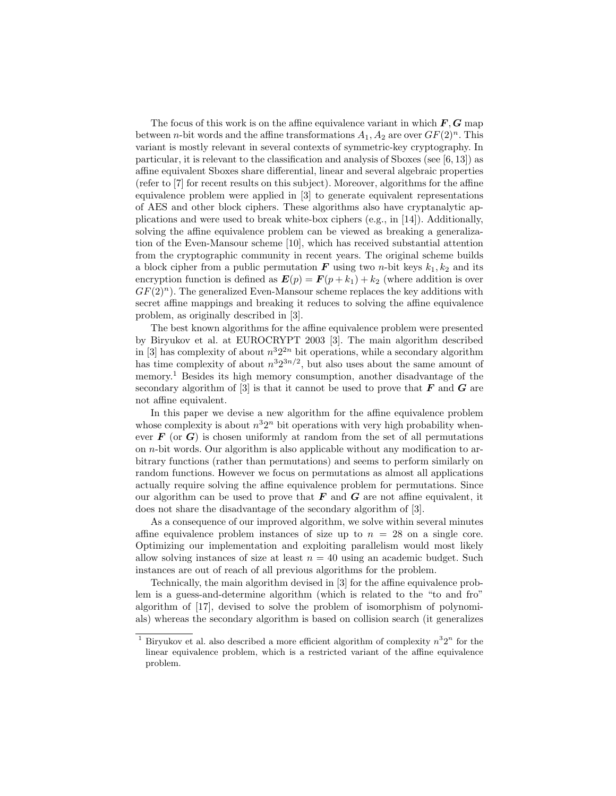The focus of this work is on the affine equivalence variant in which  $\bm{F}, \bm{G}$  map between *n*-bit words and the affine transformations  $A_1, A_2$  are over  $GF(2)^n$ . This variant is mostly relevant in several contexts of symmetric-key cryptography. In particular, it is relevant to the classification and analysis of Sboxes (see [6, 13]) as affine equivalent Sboxes share differential, linear and several algebraic properties (refer to [7] for recent results on this subject). Moreover, algorithms for the affine equivalence problem were applied in [3] to generate equivalent representations of AES and other block ciphers. These algorithms also have cryptanalytic applications and were used to break white-box ciphers (e.g., in [14]). Additionally, solving the affine equivalence problem can be viewed as breaking a generalization of the Even-Mansour scheme [10], which has received substantial attention from the cryptographic community in recent years. The original scheme builds a block cipher from a public permutation  $\bf{F}$  using two *n*-bit keys  $k_1, k_2$  and its encryption function is defined as  $E(p) = F(p + k_1) + k_2$  (where addition is over  $GF(2)<sup>n</sup>$ . The generalized Even-Mansour scheme replaces the key additions with secret affine mappings and breaking it reduces to solving the affine equivalence problem, as originally described in [3].

The best known algorithms for the affine equivalence problem were presented by Biryukov et al. at EUROCRYPT 2003 [3]. The main algorithm described in [3] has complexity of about  $n^3 2^{2n}$  bit operations, while a secondary algorithm has time complexity of about  $n^3 2^{3n/2}$ , but also uses about the same amount of memory.<sup>1</sup> Besides its high memory consumption, another disadvantage of the secondary algorithm of  $[3]$  is that it cannot be used to prove that  $\bm{F}$  and  $\bm{G}$  are not affine equivalent.

In this paper we devise a new algorithm for the affine equivalence problem whose complexity is about  $n^32^n$  bit operations with very high probability whenever  $\bf{F}$  (or  $\bf{G}$ ) is chosen uniformly at random from the set of all permutations on  $n$ -bit words. Our algorithm is also applicable without any modification to arbitrary functions (rather than permutations) and seems to perform similarly on random functions. However we focus on permutations as almost all applications actually require solving the affine equivalence problem for permutations. Since our algorithm can be used to prove that  $\bf{F}$  and  $\bf{G}$  are not affine equivalent, it does not share the disadvantage of the secondary algorithm of [3].

As a consequence of our improved algorithm, we solve within several minutes affine equivalence problem instances of size up to  $n = 28$  on a single core. Optimizing our implementation and exploiting parallelism would most likely allow solving instances of size at least  $n = 40$  using an academic budget. Such instances are out of reach of all previous algorithms for the problem.

Technically, the main algorithm devised in [3] for the affine equivalence problem is a guess-and-determine algorithm (which is related to the "to and fro" algorithm of [17], devised to solve the problem of isomorphism of polynomials) whereas the secondary algorithm is based on collision search (it generalizes

<sup>&</sup>lt;sup>1</sup> Biryukov et al. also described a more efficient algorithm of complexity  $n^32^n$  for the linear equivalence problem, which is a restricted variant of the affine equivalence problem.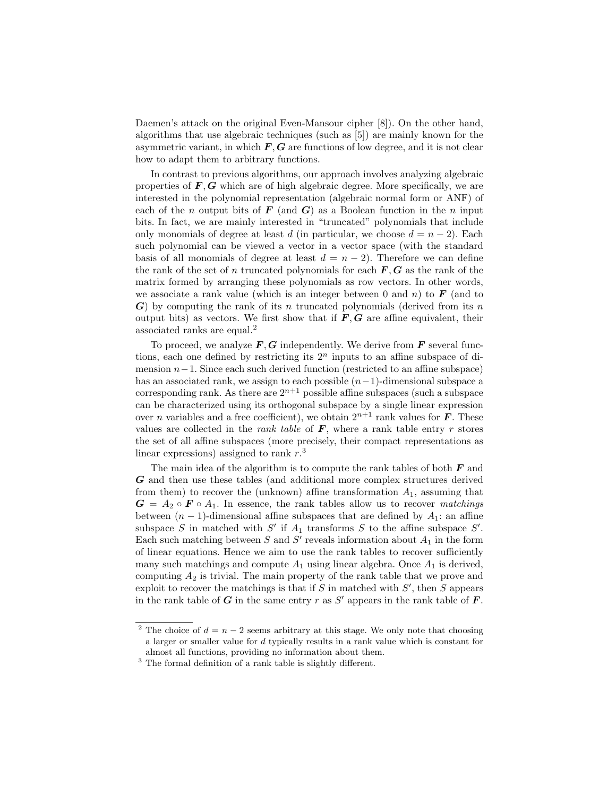Daemen's attack on the original Even-Mansour cipher [8]). On the other hand, algorithms that use algebraic techniques (such as [5]) are mainly known for the asymmetric variant, in which  $F, G$  are functions of low degree, and it is not clear how to adapt them to arbitrary functions.

In contrast to previous algorithms, our approach involves analyzing algebraic properties of  $\mathbf{F}, \mathbf{G}$  which are of high algebraic degree. More specifically, we are interested in the polynomial representation (algebraic normal form or ANF) of each of the n output bits of  $\bf{F}$  (and  $\bf{G}$ ) as a Boolean function in the n input bits. In fact, we are mainly interested in "truncated" polynomials that include only monomials of degree at least d (in particular, we choose  $d = n - 2$ ). Each such polynomial can be viewed a vector in a vector space (with the standard basis of all monomials of degree at least  $d = n - 2$ . Therefore we can define the rank of the set of n truncated polynomials for each  $\bm{F}, \bm{G}$  as the rank of the matrix formed by arranging these polynomials as row vectors. In other words, we associate a rank value (which is an integer between 0 and n) to  $\bf{F}$  (and to  $\boldsymbol{G}$ ) by computing the rank of its n truncated polynomials (derived from its n output bits) as vectors. We first show that if  $\mathbf{F}, \mathbf{G}$  are affine equivalent, their associated ranks are equal.<sup>2</sup>

To proceed, we analyze  $\mathbf{F}, \mathbf{G}$  independently. We derive from  $\mathbf{F}$  several functions, each one defined by restricting its  $2<sup>n</sup>$  inputs to an affine subspace of dimension  $n-1$ . Since each such derived function (restricted to an affine subspace) has an associated rank, we assign to each possible  $(n-1)$ -dimensional subspace a corresponding rank. As there are  $2^{n+1}$  possible affine subspaces (such a subspace can be characterized using its orthogonal subspace by a single linear expression over *n* variables and a free coefficient), we obtain  $2^{n+1}$  rank values for **F**. These values are collected in the *rank table* of  $\bm{F}$ , where a rank table entry r stores the set of all affine subspaces (more precisely, their compact representations as linear expressions) assigned to rank  $r<sup>3</sup>$ .

The main idea of the algorithm is to compute the rank tables of both  $F$  and G and then use these tables (and additional more complex structures derived from them) to recover the (unknown) affine transformation  $A_1$ , assuming that  $G = A_2 \circ F \circ A_1$ . In essence, the rank tables allow us to recover matchings between  $(n - 1)$ -dimensional affine subspaces that are defined by  $A_1$ : an affine subspace S in matched with S' if  $A_1$  transforms S to the affine subspace S'. Each such matching between S and S' reveals information about  $A_1$  in the form of linear equations. Hence we aim to use the rank tables to recover sufficiently many such matchings and compute  $A_1$  using linear algebra. Once  $A_1$  is derived, computing  $A_2$  is trivial. The main property of the rank table that we prove and exploit to recover the matchings is that if  $S$  in matched with  $S'$ , then  $S$  appears in the rank table of  $G$  in the same entry  $r$  as  $S'$  appears in the rank table of  $\overline{F}$ .

<sup>&</sup>lt;sup>2</sup> The choice of  $d = n - 2$  seems arbitrary at this stage. We only note that choosing a larger or smaller value for d typically results in a rank value which is constant for almost all functions, providing no information about them.

<sup>&</sup>lt;sup>3</sup> The formal definition of a rank table is slightly different.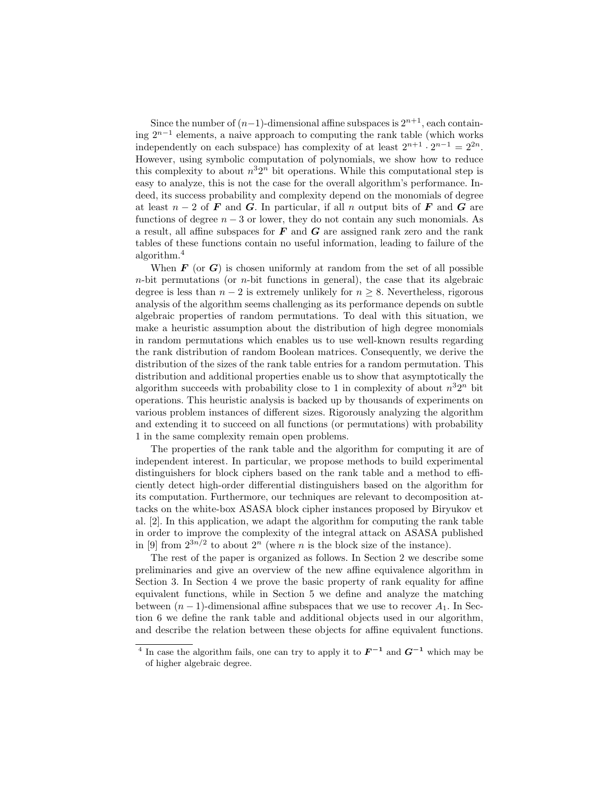Since the number of  $(n-1)$ -dimensional affine subspaces is  $2^{n+1}$ , each containing 2n−<sup>1</sup> elements, a naive approach to computing the rank table (which works independently on each subspace) has complexity of at least  $2^{n+1} \cdot 2^{n-1} = 2^{2n}$ . However, using symbolic computation of polynomials, we show how to reduce this complexity to about  $n^32^n$  bit operations. While this computational step is easy to analyze, this is not the case for the overall algorithm's performance. Indeed, its success probability and complexity depend on the monomials of degree at least  $n-2$  of F and G. In particular, if all n output bits of F and G are functions of degree  $n-3$  or lower, they do not contain any such monomials. As a result, all affine subspaces for  $\bm{F}$  and  $\bm{G}$  are assigned rank zero and the rank tables of these functions contain no useful information, leading to failure of the algorithm.<sup>4</sup>

When  $\bf{F}$  (or  $\bf{G}$ ) is chosen uniformly at random from the set of all possible  $n$ -bit permutations (or  $n$ -bit functions in general), the case that its algebraic degree is less than  $n-2$  is extremely unlikely for  $n \geq 8$ . Nevertheless, rigorous analysis of the algorithm seems challenging as its performance depends on subtle algebraic properties of random permutations. To deal with this situation, we make a heuristic assumption about the distribution of high degree monomials in random permutations which enables us to use well-known results regarding the rank distribution of random Boolean matrices. Consequently, we derive the distribution of the sizes of the rank table entries for a random permutation. This distribution and additional properties enable us to show that asymptotically the algorithm succeeds with probability close to 1 in complexity of about  $n^32^n$  bit operations. This heuristic analysis is backed up by thousands of experiments on various problem instances of different sizes. Rigorously analyzing the algorithm and extending it to succeed on all functions (or permutations) with probability 1 in the same complexity remain open problems.

The properties of the rank table and the algorithm for computing it are of independent interest. In particular, we propose methods to build experimental distinguishers for block ciphers based on the rank table and a method to efficiently detect high-order differential distinguishers based on the algorithm for its computation. Furthermore, our techniques are relevant to decomposition attacks on the white-box ASASA block cipher instances proposed by Biryukov et al. [2]. In this application, we adapt the algorithm for computing the rank table in order to improve the complexity of the integral attack on ASASA published in [9] from  $2^{3n/2}$  to about  $2^n$  (where *n* is the block size of the instance).

The rest of the paper is organized as follows. In Section 2 we describe some preliminaries and give an overview of the new affine equivalence algorithm in Section 3. In Section 4 we prove the basic property of rank equality for affine equivalent functions, while in Section 5 we define and analyze the matching between  $(n-1)$ -dimensional affine subspaces that we use to recover  $A_1$ . In Section 6 we define the rank table and additional objects used in our algorithm, and describe the relation between these objects for affine equivalent functions.

<sup>&</sup>lt;sup>4</sup> In case the algorithm fails, one can try to apply it to  $\boldsymbol{F}^{-1}$  and  $\boldsymbol{G}^{-1}$  which may be of higher algebraic degree.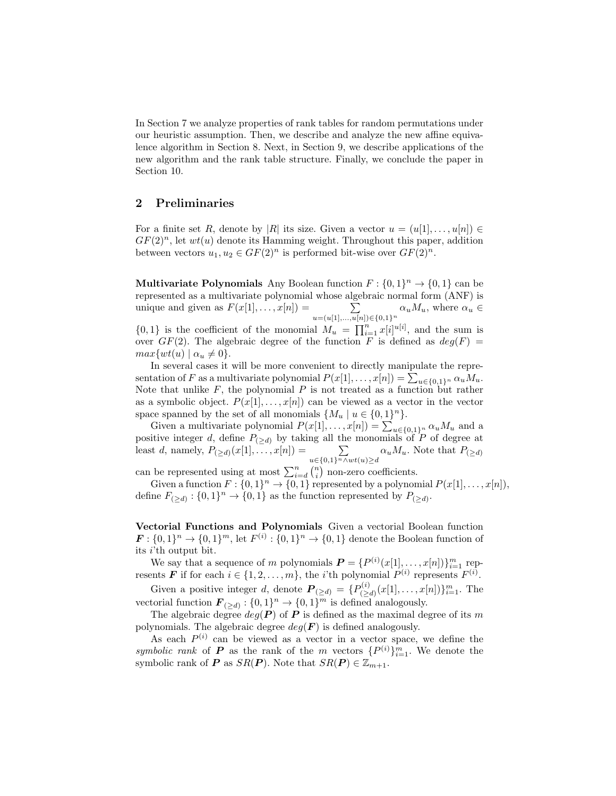In Section 7 we analyze properties of rank tables for random permutations under our heuristic assumption. Then, we describe and analyze the new affine equivalence algorithm in Section 8. Next, in Section 9, we describe applications of the new algorithm and the rank table structure. Finally, we conclude the paper in Section 10.

### 2 Preliminaries

For a finite set R, denote by |R| its size. Given a vector  $u = (u[1], \ldots, u[n]) \in$  $GF(2)<sup>n</sup>$ , let  $wt(u)$  denote its Hamming weight. Throughout this paper, addition between vectors  $u_1, u_2 \in GF(2)^n$  is performed bit-wise over  $GF(2)^n$ .

**Multivariate Polynomials** Any Boolean function  $F: \{0,1\}^n \to \{0,1\}$  can be represented as a multivariate polynomial whose algebraic normal form (ANF) is unique and given as  $F(x[1], \ldots, x[n]) =$  $\sum_{u=(u[1],...,u[n])\in\{0,1\}^n} \alpha_u M_u$ , where  $\alpha_u \in$ 

 $\{0,1\}$  is the coefficient of the monomial  $M_u = \prod_{i=1}^n x[i]^{u[i]}$ , and the sum is over  $GF(2)$ . The algebraic degree of the function F is defined as  $deg(F)$  =  $max\{wt(u) | \alpha_u \neq 0\}.$ 

In several cases it will be more convenient to directly manipulate the representation of F as a multivariate polynomial  $P(x[1], \ldots, x[n]) = \sum_{u \in \{0,1\}^n} \alpha_u M_u$ . Note that unlike  $F$ , the polynomial  $P$  is not treated as a function but rather as a symbolic object.  $P(x[1], \ldots, x[n])$  can be viewed as a vector in the vector space spanned by the set of all monomials  $\{M_u \mid u \in \{0,1\}^n\}.$ 

Given a multivariate polynomial  $P(x[1], \ldots, x[n]) = \sum_{u \in \{0,1\}^n} \alpha_u M_u$  and a positive integer d, define  $P_{(\geq d)}$  by taking all the monomials of P of degree at least d, namely,  $P_{(\geq d)}(x[1], \ldots, x[n]) = \sum_{u \in \{0,1\}^n \wedge wt(u) \geq d} \alpha_u M_u$ . Note that  $P_{(\geq d)}$ 

can be represented using at most  $\sum_{i=d}^{n} {n \choose i}$  non-zero coefficients.

Given a function  $F: \{0,1\}^n \to \{0,1\}$  represented by a polynomial  $P(x[1], \ldots, x[n]),$ define  $F_{(\ge d)} : \{0,1\}^n \to \{0,1\}$  as the function represented by  $P_{(\ge d)}$ .

Vectorial Functions and Polynomials Given a vectorial Boolean function  $\mathbf{F}: \{0,1\}^n \to \{0,1\}^m$ , let  $F^{(i)}: \{0,1\}^n \to \{0,1\}$  denote the Boolean function of its  $i$ 'th output bit.

We say that a sequence of m polynomials  $\boldsymbol{P} = \{P^{(i)}(x[1], \ldots, x[n])\}_{i=1}^m$  represents **F** if for each  $i \in \{1, 2, ..., m\}$ , the *i*'th polynomial  $P^{(i)}$  represents  $F^{(i)}$ .

Given a positive integer d, denote  $P_{(\ge d)} = \{P_{(>d)}^{(i)}\}$  $\sum_{(\geq d)}^{(i)} (x[1], \ldots, x[n])\}_{i=1}^m$ . The vectorial function  $\mathbf{F}_{(\ge d)} : \{0,1\}^n \to \{0,1\}^m$  is defined analogously.

The algebraic degree  $deg(P)$  of P is defined as the maximal degree of its m polynomials. The algebraic degree  $deg(\mathbf{F})$  is defined analogously.

As each  $P^{(i)}$  can be viewed as a vector in a vector space, we define the symbolic rank of **P** as the rank of the m vectors  $\{P^{(i)}\}_{i=1}^m$ . We denote the symbolic rank of **P** as  $SR(P)$ . Note that  $SR(P) \in \mathbb{Z}_{m+1}$ .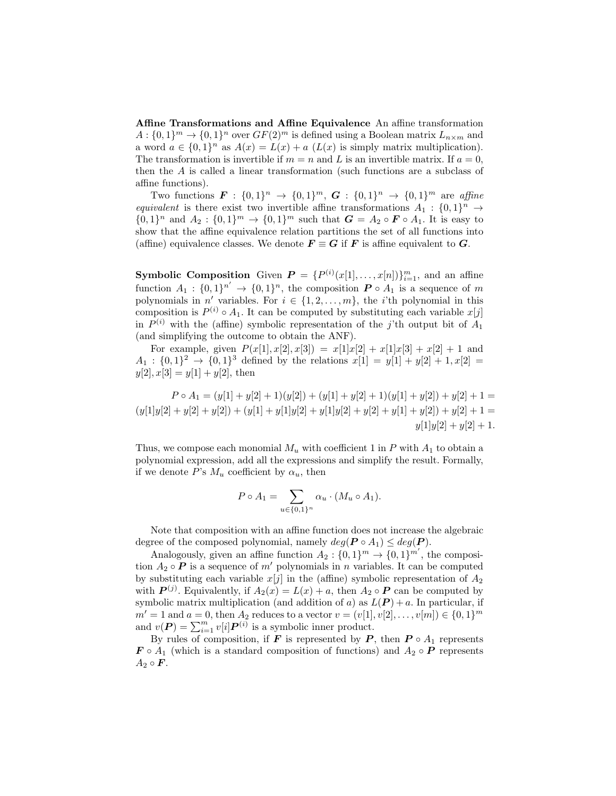Affine Transformations and Affine Equivalence An affine transformation  $A: \{0,1\}^m \to \{0,1\}^n$  over  $GF(2)^m$  is defined using a Boolean matrix  $L_{n \times m}$  and a word  $a \in \{0,1\}^n$  as  $A(x) = L(x) + a$   $(L(x)$  is simply matrix multiplication). The transformation is invertible if  $m = n$  and L is an invertible matrix. If  $a = 0$ , then the A is called a linear transformation (such functions are a subclass of affine functions).

Two functions  $\mathbf{F} : \{0,1\}^n \to \{0,1\}^m$ ,  $\mathbf{G} : \{0,1\}^n \to \{0,1\}^m$  are affine equivalent is there exist two invertible affine transformations  $A_1: \{0,1\}^n \rightarrow$  $\{0,1\}^n$  and  $A_2: \{0,1\}^m \to \{0,1\}^m$  such that  $G = A_2 \circ F \circ A_1$ . It is easy to show that the affine equivalence relation partitions the set of all functions into (affine) equivalence classes. We denote  $\mathbf{F} \equiv \mathbf{G}$  if  $\mathbf{F}$  is affine equivalent to  $\mathbf{G}$ .

**Symbolic Composition** Given  $P = \{P^{(i)}(x[1],...,x[n])\}_{i=1}^m$ , and an affine function  $A_1: \{0,1\}^{n'} \to \{0,1\}^n$ , the composition  $P \circ A_1$  is a sequence of m polynomials in  $n'$  variables. For  $i \in \{1, 2, \ldots, m\}$ , the *i*'th polynomial in this composition is  $P^{(i)} \circ A_1$ . It can be computed by substituting each variable  $x[j]$ in  $P^{(i)}$  with the (affine) symbolic representation of the j'th output bit of  $A_1$ (and simplifying the outcome to obtain the ANF).

For example, given  $P(x[1], x[2], x[3]) = x[1]x[2] + x[1]x[3] + x[2] + 1$  and  $A_1: \{0,1\}^2 \to \{0,1\}^3$  defined by the relations  $x[1] = y[1] + y[2] + 1, x[2] =$  $y[2], x[3] = y[1] + y[2]$ , then

 $P \circ A_1 = (y[1] + y[2] + 1)(y[2]) + (y[1] + y[2] + 1)(y[1] + y[2]) + y[2] + 1 =$  $(y[1]y[2] + y[2] + y[2]) + (y[1] + y[1]y[2] + y[1]y[2] + y[2] + y[1] + y[2]) + y[2] + 1 =$  $y[1]y[2] + y[2] + 1.$ 

Thus, we compose each monomial  $M_u$  with coefficient 1 in P with  $A_1$  to obtain a polynomial expression, add all the expressions and simplify the result. Formally, if we denote P's  $M_u$  coefficient by  $\alpha_u$ , then

$$
P \circ A_1 = \sum_{u \in \{0,1\}^n} \alpha_u \cdot (M_u \circ A_1).
$$

Note that composition with an affine function does not increase the algebraic degree of the composed polynomial, namely  $deg(P \circ A_1) \leq deg(P)$ .

Analogously, given an affine function  $A_2: \{0,1\}^m \to \{0,1\}^{m'}$ , the composition  $A_2 \circ \mathbf{P}$  is a sequence of m' polynomials in n variables. It can be computed by substituting each variable  $x[j]$  in the (affine) symbolic representation of  $A_2$ with  $P^{(j)}$ . Equivalently, if  $A_2(x) = L(x) + a$ , then  $A_2 \circ P$  can be computed by symbolic matrix multiplication (and addition of a) as  $L(P) + a$ . In particular, if  $m' = 1$  and  $a = 0$ , then  $A_2$  reduces to a vector  $v = (v[1], v[2], \ldots, v[m]) \in \{0, 1\}^m$ and  $v(P) = \sum_{i=1}^{m} v[i] P^{(i)}$  is a symbolic inner product.

By rules of composition, if F is represented by P, then  $P \circ A_1$  represents  $\mathbf{F} \circ A_1$  (which is a standard composition of functions) and  $A_2 \circ \mathbf{P}$  represents  $A_2 \circ \mathbf{F}$ .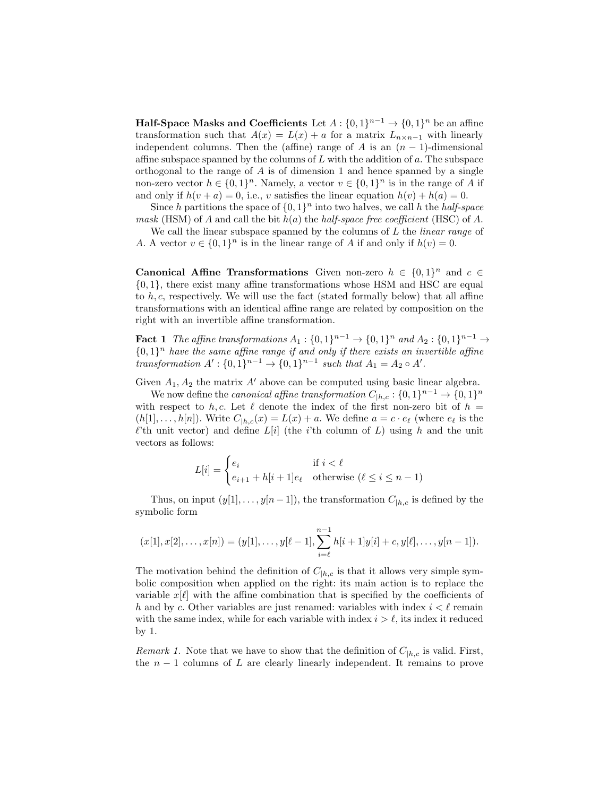**Half-Space Masks and Coefficients** Let  $A: \{0,1\}^{n-1} \to \{0,1\}^n$  be an affine transformation such that  $A(x) = L(x) + a$  for a matrix  $L_{n \times n-1}$  with linearly independent columns. Then the (affine) range of A is an  $(n-1)$ -dimensional affine subspace spanned by the columns of  $L$  with the addition of  $a$ . The subspace orthogonal to the range of  $A$  is of dimension 1 and hence spanned by a single non-zero vector  $h \in \{0,1\}^n$ . Namely, a vector  $v \in \{0,1\}^n$  is in the range of A if and only if  $h(v + a) = 0$ , i.e., v satisfies the linear equation  $h(v) + h(a) = 0$ .

Since h partitions the space of  $\{0,1\}^n$  into two halves, we call h the half-space mask (HSM) of A and call the bit  $h(a)$  the half-space free coefficient (HSC) of A.

We call the linear subspace spanned by the columns of  $L$  the *linear range* of A. A vector  $v \in \{0,1\}^n$  is in the linear range of A if and only if  $h(v) = 0$ .

**Canonical Affine Transformations** Given non-zero  $h \in \{0,1\}^n$  and  $c \in$  $\{0, 1\}$ , there exist many affine transformations whose HSM and HSC are equal to  $h, c$ , respectively. We will use the fact (stated formally below) that all affine transformations with an identical affine range are related by composition on the right with an invertible affine transformation.

**Fact 1** The affine transformations  $A_1: \{0,1\}^{n-1} \to \{0,1\}^n$  and  $A_2: \{0,1\}^{n-1} \to$  $\{0,1\}^n$  have the same affine range if and only if there exists an invertible affine transformation  $A' : \{0,1\}^{n-1} \to \{0,1\}^{n-1}$  such that  $A_1 = A_2 \circ A'$ .

Given  $A_1, A_2$  the matrix A' above can be computed using basic linear algebra.

We now define the *canonical affine transformation*  $C_{|h,c}: \{0,1\}^{n-1} \to \{0,1\}^n$ with respect to h, c. Let  $\ell$  denote the index of the first non-zero bit of  $h =$  $(h[1], \ldots, h[n])$ . Write  $C_{|h,c}(x) = L(x) + a$ . We define  $a = c \cdot e_{\ell}$  (where  $e_{\ell}$  is the  $\ell$ <sup>'th</sup> unit vector) and define  $L[i]$  (the *i*'th column of L) using h and the unit vectors as follows:

$$
L[i] = \begin{cases} e_i & \text{if } i < \ell \\ e_{i+1} + h[i+1]e_\ell & \text{otherwise } (\ell \le i \le n-1) \end{cases}
$$

Thus, on input  $(y[1], \ldots, y[n-1])$ , the transformation  $C_{h,c}$  is defined by the symbolic form

$$
(x[1], x[2], \ldots, x[n]) = (y[1], \ldots, y[\ell-1], \sum_{i=\ell}^{n-1} h[i+1]y[i] + c, y[\ell], \ldots, y[n-1]).
$$

The motivation behind the definition of  $C_{h,c}$  is that it allows very simple symbolic composition when applied on the right: its main action is to replace the variable  $x[\ell]$  with the affine combination that is specified by the coefficients of h and by c. Other variables are just renamed: variables with index  $i < \ell$  remain with the same index, while for each variable with index  $i > \ell$ , its index it reduced by 1.

*Remark 1.* Note that we have to show that the definition of  $C_{h,c}$  is valid. First, the  $n-1$  columns of L are clearly linearly independent. It remains to prove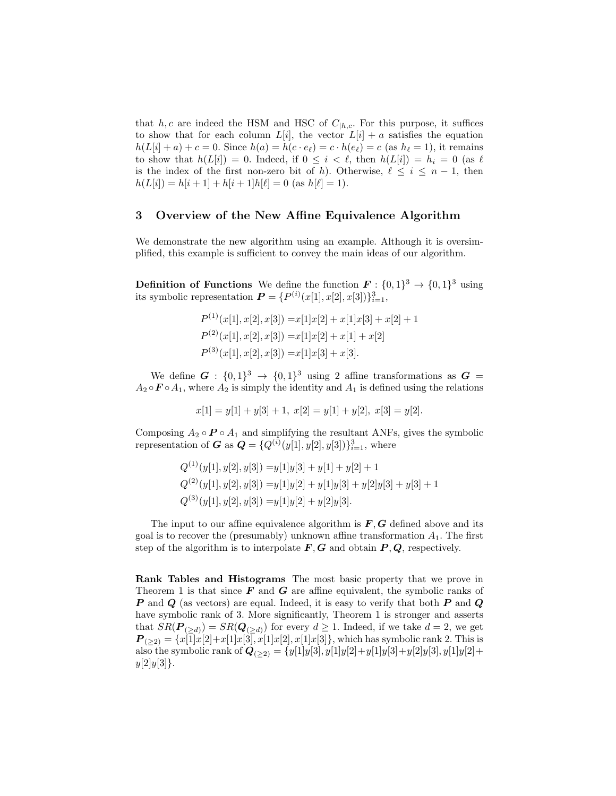that h, c are indeed the HSM and HSC of  $C_{h,c}$ . For this purpose, it suffices to show that for each column  $L[i]$ , the vector  $L[i] + a$  satisfies the equation  $h(L[i] + a) + c = 0$ . Since  $h(a) = h(c \cdot e_\ell) = c \cdot h(e_\ell) = c$  (as  $h_\ell = 1$ ), it remains to show that  $h(L[i]) = 0$ . Indeed, if  $0 \leq i \leq \ell$ , then  $h(L[i]) = h_i = 0$  (as  $\ell$ is the index of the first non-zero bit of h). Otherwise,  $\ell \leq i \leq n - 1$ , then  $h(L[i]) = h[i+1] + h[i+1]h[\ell] = 0$  (as  $h[\ell] = 1$ ).

### 3 Overview of the New Affine Equivalence Algorithm

We demonstrate the new algorithm using an example. Although it is oversimplified, this example is sufficient to convey the main ideas of our algorithm.

**Definition of Functions** We define the function  $\mathbf{F}: \{0,1\}^3 \to \{0,1\}^3$  using its symbolic representation  $\mathbf{P} = \{P^{(i)}(x[1], x[2], x[3])\}_{i=1}^3$ ,

$$
P^{(1)}(x[1], x[2], x[3]) = x[1]x[2] + x[1]x[3] + x[2] + 1
$$
  
\n
$$
P^{(2)}(x[1], x[2], x[3]) = x[1]x[2] + x[1] + x[2]
$$
  
\n
$$
P^{(3)}(x[1], x[2], x[3]) = x[1]x[3] + x[3].
$$

We define  $G: \{0,1\}^3 \rightarrow \{0,1\}^3$  using 2 affine transformations as  $G =$  $A_2 \circ \mathbf{F} \circ A_1$ , where  $A_2$  is simply the identity and  $A_1$  is defined using the relations

 $x[1] = y[1] + y[3] + 1, x[2] = y[1] + y[2], x[3] = y[2].$ 

Composing  $A_2 \circ \mathbf{P} \circ A_1$  and simplifying the resultant ANFs, gives the symbolic representation of **G** as  $Q = \{Q^{(i)}(y[1], y[2], y[3])\}_{i=1}^3$ , where

$$
Q^{(1)}(y[1], y[2], y[3]) = y[1]y[3] + y[1] + y[2] + 1
$$
  
\n
$$
Q^{(2)}(y[1], y[2], y[3]) = y[1]y[2] + y[1]y[3] + y[2]y[3] + y[3] + 1
$$
  
\n
$$
Q^{(3)}(y[1], y[2], y[3]) = y[1]y[2] + y[2]y[3].
$$

The input to our affine equivalence algorithm is  $F, G$  defined above and its goal is to recover the (presumably) unknown affine transformation  $A_1$ . The first step of the algorithm is to interpolate  $F, G$  and obtain  $P, Q$ , respectively.

Rank Tables and Histograms The most basic property that we prove in Theorem 1 is that since  $\boldsymbol{F}$  and  $\boldsymbol{G}$  are affine equivalent, the symbolic ranks of  $P$  and  $Q$  (as vectors) are equal. Indeed, it is easy to verify that both  $P$  and  $Q$ have symbolic rank of 3. More significantly, Theorem 1 is stronger and asserts that  $SR(\boldsymbol{P}_{(>d)}) = SR(\boldsymbol{Q}_{(>d)})$  for every  $d \geq 1$ . Indeed, if we take  $d = 2$ , we get  $\boldsymbol{P}_{(\geq 2)} = \{x[1]x[2]+x[1]x[3], x[1]x[2], x[1]x[3]\},\$  which has symbolic rank 2. This is also the symbolic rank of  $Q_{(\geq 2)} = \{y[1]y[3], y[1]y[2]+y[1]y[3]+y[2]y[3], y[1]y[2]+y[3] \}$  $y[2]y[3]$ .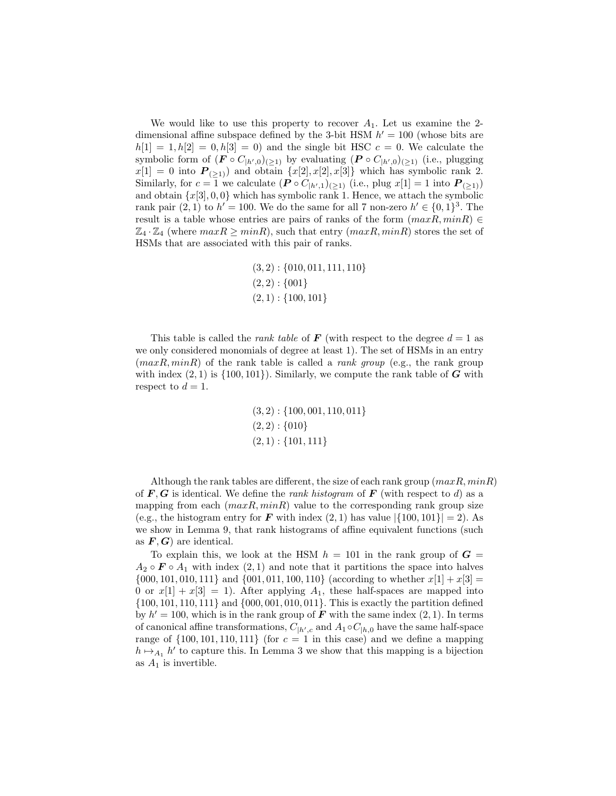We would like to use this property to recover  $A_1$ . Let us examine the 2dimensional affine subspace defined by the 3-bit HSM  $h' = 100$  (whose bits are  $h[1] = 1, h[2] = 0, h[3] = 0$  and the single bit HSC  $c = 0$ . We calculate the symbolic form of  $(\mathbf{F} \circ C_{|h',0})_{(ngeq 1)}$  by evaluating  $(\mathbf{P} \circ C_{|h',0})_{(ngeq 1)}$  (i.e., plugging  $x[1] = 0$  into  $P_{(>1)}$  and obtain  $\{x[2], x[2], x[3]\}$  which has symbolic rank 2. Similarly, for  $c = 1$  we calculate  $(P \circ C_{h',1})_{(n \geq 1)}$  (i.e., plug  $x[1] = 1$  into  $P_{(n \geq 1)}$ ) and obtain  $\{x[3], 0, 0\}$  which has symbolic rank 1. Hence, we attach the symbolic rank pair  $(2, 1)$  to  $h' = 100$ . We do the same for all 7 non-zero  $h' \in \{0, 1\}^3$ . The result is a table whose entries are pairs of ranks of the form  $(maxR, minR) \in$  $\mathbb{Z}_4 \cdot \mathbb{Z}_4$  (where  $maxR \geq minR$ ), such that entry  $(maxR, minR)$  stores the set of HSMs that are associated with this pair of ranks.

$$
(3,2): \{010, 011, 111, 110\}
$$
  

$$
(2,2): \{001\}
$$
  

$$
(2,1): \{100, 101\}
$$

This table is called the *rank table* of **F** (with respect to the degree  $d = 1$  as we only considered monomials of degree at least 1). The set of HSMs in an entry  $(maxR, minR)$  of the rank table is called a *rank group* (e.g., the rank group with index  $(2, 1)$  is  $\{100, 101\}$ . Similarly, we compute the rank table of G with respect to  $d = 1$ .

$$
(3, 2): \{100, 001, 110, 011\}
$$

$$
(2, 2): \{010\}
$$

$$
(2, 1): \{101, 111\}
$$

Although the rank tables are different, the size of each rank group  $(maxR, minR)$ of  $\mathbf{F}, \mathbf{G}$  is identical. We define the *rank histogram* of  $\mathbf{F}$  (with respect to d) as a mapping from each  $(maxR, minR)$  value to the corresponding rank group size (e.g., the histogram entry for F with index  $(2,1)$  has value  $|\{100, 101\}| = 2$ ). As we show in Lemma 9, that rank histograms of affine equivalent functions (such as  $F, G$  are identical.

To explain this, we look at the HSM  $h = 101$  in the rank group of  $G =$  $A_2 \circ \mathbf{F} \circ A_1$  with index  $(2,1)$  and note that it partitions the space into halves  $\{000, 101, 010, 111\}$  and  $\{001, 011, 100, 110\}$  (according to whether  $x[1] + x[3] =$ 0 or  $x[1] + x[3] = 1$ ). After applying  $A_1$ , these half-spaces are mapped into {100, 101, 110, 111} and {000, 001, 010, 011}. This is exactly the partition defined by  $h' = 100$ , which is in the rank group of **F** with the same index  $(2, 1)$ . In terms of canonical affine transformations,  $C_{|h',c}$  and  $A_1 \circ C_{|h,0}$  have the same half-space range of  $\{100, 101, 110, 111\}$  (for  $c = 1$  in this case) and we define a mapping  $h \mapsto_{A_1} h'$  to capture this. In Lemma 3 we show that this mapping is a bijection as  $A_1$  is invertible.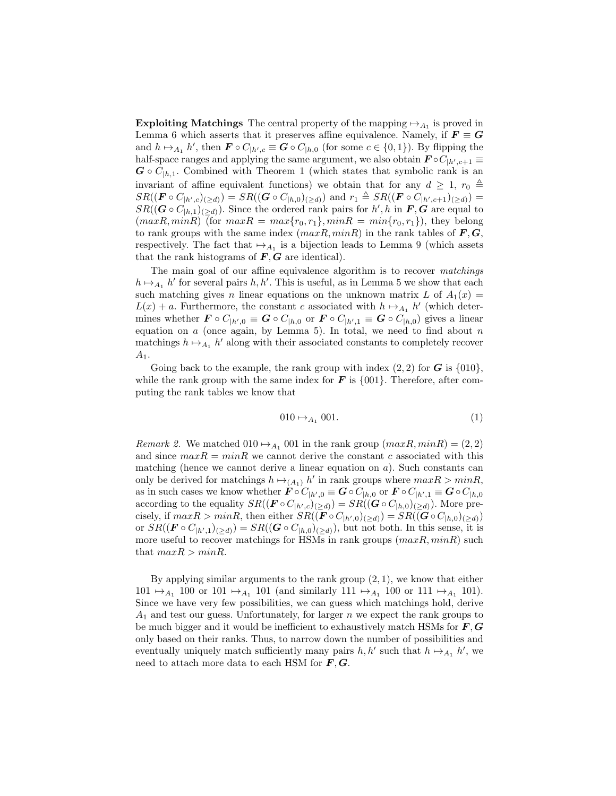Exploiting Matchings The central property of the mapping  $\mapsto_{A_1}$  is proved in Lemma 6 which asserts that it preserves affine equivalence. Namely, if  $F \equiv G$ and  $h \mapsto_{A_1} h'$ , then  $\mathbf{F} \circ C_{\vert h',c} \equiv \mathbf{G} \circ C_{\vert h,0}$  (for some  $c \in \{0,1\}$ ). By flipping the half-space ranges and applying the same argument, we also obtain  $\mathbf{F} \circ C_{|h',c+1} \equiv$  $G \circ C_{h,1}$ . Combined with Theorem 1 (which states that symbolic rank is an invariant of affine equivalent functions) we obtain that for any  $d \geq 1$ ,  $r_0 \triangleq$  $SR((\bm{F} \circ C_{|h',c})(\geq d)) = SR((\bm{G} \circ C_{|h,0})(\geq d))$  and  $r_1 \triangleq SR((\bm{F} \circ C_{|h',c+1})(\geq d))$  $SR((\mathbf{G} \circ C_{h,1})_{(geq d)})$ . Since the ordered rank pairs for  $h', h$  in  $\mathbf{F}, \mathbf{G}$  are equal to  $(maxR, minR)$  (for  $maxR = max\{r_0, r_1\}$ ,  $minR = min\{r_0, r_1\}$ ), they belong to rank groups with the same index  $(maxR, minR)$  in the rank tables of  $\mathbf{F}, \mathbf{G},$ respectively. The fact that  $\mapsto_{A_1}$  is a bijection leads to Lemma 9 (which assets that the rank histograms of  $F, G$  are identical).

The main goal of our affine equivalence algorithm is to recover matchings  $h \mapsto_{A_1} h'$  for several pairs  $h, h'$ . This is useful, as in Lemma 5 we show that each such matching gives n linear equations on the unknown matrix L of  $A_1(x) =$  $L(x) + a$ . Furthermore, the constant c associated with  $h \mapsto_{A_1} h'$  (which determines whether  $\mathbf{F} \circ C_{|h',0} \equiv \mathbf{G} \circ C_{|h,0}$  or  $\mathbf{F} \circ C_{|h',1} \equiv \mathbf{G} \circ C_{|h,0}$  gives a linear equation on  $a$  (once again, by Lemma 5). In total, we need to find about  $n$ matchings  $h \mapsto_{A_1} h'$  along with their associated constants to completely recover  $A_1$ .

Going back to the example, the rank group with index  $(2, 2)$  for G is  $\{010\}$ , while the rank group with the same index for  $\boldsymbol{F}$  is  $\{001\}$ . Therefore, after computing the rank tables we know that

$$
010 \mapsto_{A_1} 001. \tag{1}
$$

*Remark 2.* We matched  $010 \rightarrow_{A_1} 001$  in the rank group  $(maxR, minR) = (2, 2)$ and since  $maxR = minR$  we cannot derive the constant c associated with this matching (hence we cannot derive a linear equation on  $a$ ). Such constants can only be derived for matchings  $h \mapsto_{(A_1)} h'$  in rank groups where  $maxR > minR$ , as in such cases we know whether  $\mathbf{F} \circ C_{|h',0} \equiv \mathbf{G} \circ C_{|h,0}$  or  $\mathbf{F} \circ C_{|h',1} \equiv \mathbf{G} \circ C_{|h,0}$ according to the equality  $SR((\mathbf{F} \circ C_{|h',c})(\geq d)) = SR((\mathbf{G} \circ C_{|h,0})(\geq d))$ . More precisely, if  $maxR > minR$ , then either  $SR((\boldsymbol{F} \circ C_{|h',0})(\geq d)) = SR((\boldsymbol{G} \circ C_{|h,0})(\geq d))$ or  $SR((\mathbf{F} \circ C_{|h',1})(\geq d)) = SR((\mathbf{G} \circ C_{|h,0})(\geq d))$ , but not both. In this sense, it is more useful to recover matchings for HSMs in rank groups  $(maxR, minR)$  such that  $maxR > minR$ .

By applying similar arguments to the rank group  $(2, 1)$ , we know that either  $101 \mapsto_{A_1} 100$  or  $101 \mapsto_{A_1} 101$  (and similarly  $111 \mapsto_{A_1} 100$  or  $111 \mapsto_{A_1} 101$ ). Since we have very few possibilities, we can guess which matchings hold, derive  $A_1$  and test our guess. Unfortunately, for larger n we expect the rank groups to be much bigger and it would be inefficient to exhaustively match HSMs for  $\bm{F}, \bm{G}$ only based on their ranks. Thus, to narrow down the number of possibilities and eventually uniquely match sufficiently many pairs  $h, h'$  such that  $h \mapsto_{A_1} h'$ , we need to attach more data to each HSM for  $F, G$ .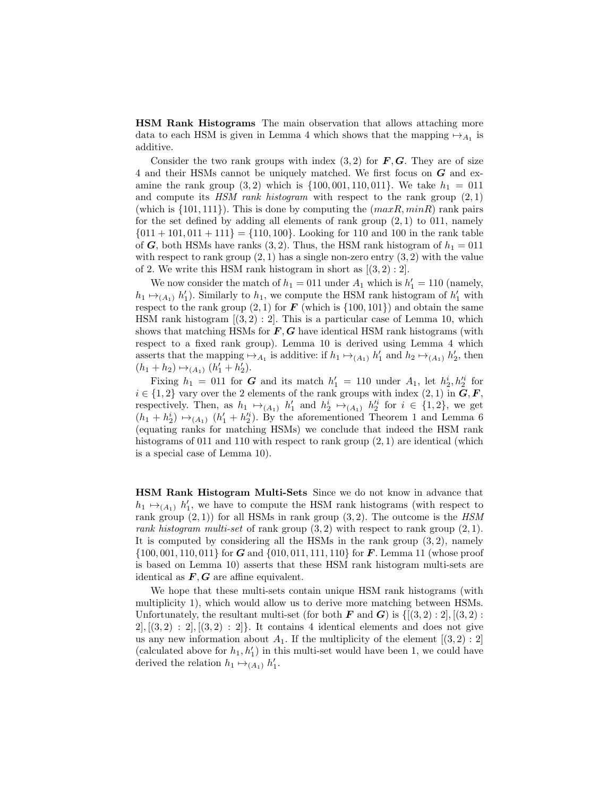HSM Rank Histograms The main observation that allows attaching more data to each HSM is given in Lemma 4 which shows that the mapping  $\mapsto_{A_1}$  is additive.

Consider the two rank groups with index  $(3, 2)$  for  $\mathbf{F}, \mathbf{G}$ . They are of size 4 and their HSMs cannot be uniquely matched. We first focus on G and examine the rank group  $(3, 2)$  which is  $\{100, 001, 110, 011\}$ . We take  $h_1 = 011$ and compute its  $HSM$  rank histogram with respect to the rank group  $(2, 1)$ (which is  $\{101, 111\}$ ). This is done by computing the  $(maxR, minR)$  rank pairs for the set defined by adding all elements of rank group  $(2, 1)$  to 011, namely  ${011 + 101, 011 + 111} = {110, 100}$ . Looking for 110 and 100 in the rank table of G, both HSMs have ranks  $(3, 2)$ . Thus, the HSM rank histogram of  $h_1 = 011$ with respect to rank group  $(2, 1)$  has a single non-zero entry  $(3, 2)$  with the value of 2. We write this HSM rank histogram in short as  $[(3,2):2]$ .

We now consider the match of  $h_1 = 011$  under  $A_1$  which is  $h'_1 = 110$  (namely,  $h_1 \mapsto_{(A_1)} h'_1$ ). Similarly to  $h_1$ , we compute the HSM rank histogram of  $h'_1$  with respect to the rank group  $(2, 1)$  for **F** (which is  $\{100, 101\}$ ) and obtain the same HSM rank histogram  $[(3, 2) : 2]$ . This is a particular case of Lemma 10, which shows that matching HSMs for  $\vec{F}$ ,  $\vec{G}$  have identical HSM rank histograms (with respect to a fixed rank group). Lemma 10 is derived using Lemma 4 which asserts that the mapping  $\mapsto_{A_1}$  is additive: if  $h_1 \mapsto_{(A_1)} h'_1$  and  $h_2 \mapsto_{(A_1)} h'_2$ , then  $(h_1 + h_2) \mapsto_{(A_1)} (h'_1 + h'_2).$ 

Fixing  $h_1 = 011$  for G and its match  $h'_1 = 110$  under  $A_1$ , let  $h'_2, h'^i_2$  for  $i \in \{1,2\}$  vary over the 2 elements of the rank groups with index  $(2,1)$  in  $\mathbf{G}, \mathbf{F},$ respectively. Then, as  $h_1 \mapsto_{(A_1)} h'_1$  and  $h_2^i \mapsto_{(A_1)} h''_2$  for  $i \in \{1,2\}$ , we get  $(h_1 + h_2^i) \mapsto_{(A_1)} (h_1' + h_2'^i)$ . By the aforementioned Theorem 1 and Lemma 6 (equating ranks for matching HSMs) we conclude that indeed the HSM rank histograms of 011 and 110 with respect to rank group  $(2, 1)$  are identical (which is a special case of Lemma 10).

HSM Rank Histogram Multi-Sets Since we do not know in advance that  $h_1 \mapsto_{(A_1)} h'_1$ , we have to compute the HSM rank histograms (with respect to rank group  $(2, 1)$  for all HSMs in rank group  $(3, 2)$ . The outcome is the HSM rank histogram multi-set of rank group  $(3, 2)$  with respect to rank group  $(2, 1)$ . It is computed by considering all the HSMs in the rank group  $(3, 2)$ , namely  $\{100, 001, 110, 011\}$  for G and  $\{010, 011, 111, 110\}$  for F. Lemma 11 (whose proof is based on Lemma 10) asserts that these HSM rank histogram multi-sets are identical as  $\bm{F}, \bm{G}$  are affine equivalent.

We hope that these multi-sets contain unique HSM rank histograms (with multiplicity 1), which would allow us to derive more matching between HSMs. Unfortunately, the resultant multi-set (for both  $\bm{F}$  and  $\bm{G}$ ) is  $\{[(3,2):2], [(3,2):$  $2$ ,  $[(3,2):2]$ ,  $[(3,2):2]$ . It contains 4 identical elements and does not give us any new information about  $A_1$ . If the multiplicity of the element  $[(3,2):2]$ (calculated above for  $h_1, h'_1$ ) in this multi-set would have been 1, we could have derived the relation  $h_1 \mapsto_{(A_1)} h'_1$ .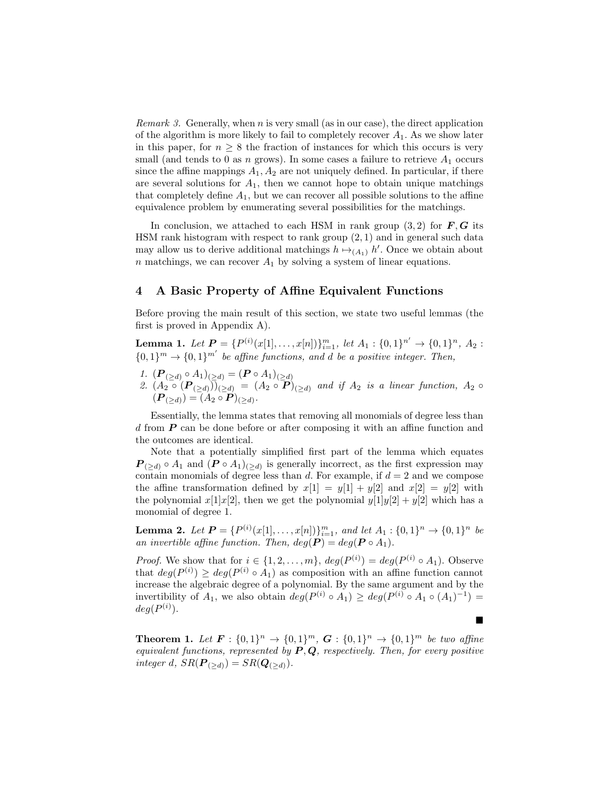*Remark 3.* Generally, when n is very small (as in our case), the direct application of the algorithm is more likely to fail to completely recover  $A_1$ . As we show later in this paper, for  $n \geq 8$  the fraction of instances for which this occurs is very small (and tends to 0 as n grows). In some cases a failure to retrieve  $A_1$  occurs since the affine mappings  $A_1, A_2$  are not uniquely defined. In particular, if there are several solutions for  $A_1$ , then we cannot hope to obtain unique matchings that completely define  $A_1$ , but we can recover all possible solutions to the affine equivalence problem by enumerating several possibilities for the matchings.

In conclusion, we attached to each HSM in rank group  $(3, 2)$  for  $\mathbf{F}, \mathbf{G}$  its HSM rank histogram with respect to rank group  $(2, 1)$  and in general such data may allow us to derive additional matchings  $h \mapsto_{(A_1)} h'$ . Once we obtain about n matchings, we can recover  $A_1$  by solving a system of linear equations.

### 4 A Basic Property of Affine Equivalent Functions

Before proving the main result of this section, we state two useful lemmas (the first is proved in Appendix A).

Lemma 1. Let  $P = \{P^{(i)}(x[1],...,x[n])\}_{i=1}^m$ , let  $A_1 : \{0,1\}^{n'} \to \{0,1\}^n$ ,  $A_2 :$  ${0,1}^m \rightarrow {0,1}^{m'}$  be affine functions, and d be a positive integer. Then,

- 1.  $(\boldsymbol{P}_{(\geq d)} \circ A_1)_{(\geq d)} = (\boldsymbol{P} \circ A_1)_{(\geq d)}$
- 2.  $(A_2 \circ (P_{(\ge d)}))_{(\ge d)} = (A_2 \circ P)_{(\ge d)}$  and if  $A_2$  is a linear function,  $A_2 \circ$  $({\bm P}_{(\ge d)}) = (A_2 \circ {\bm P})_{(\ge d)}.$

Essentially, the lemma states that removing all monomials of degree less than d from P can be done before or after composing it with an affine function and the outcomes are identical.

Note that a potentially simplified first part of the lemma which equates  $P_{(\ge d)} \circ A_1$  and  $(P \circ A_1)_{(\ge d)}$  is generally incorrect, as the first expression may contain monomials of degree less than  $d$ . For example, if  $d = 2$  and we compose the affine transformation defined by  $x[1] = y[1] + y[2]$  and  $x[2] = y[2]$  with the polynomial  $x[1]x[2]$ , then we get the polynomial  $y[1]y[2] + y[2]$  which has a monomial of degree 1.

**Lemma 2.** Let  $P = \{P^{(i)}(x[1],...,x[n])\}_{i=1}^m$ , and let  $A_1 : \{0,1\}^n \to \{0,1\}^n$  be an invertible affine function. Then,  $deg(P) = deg(P \circ A_1)$ .

*Proof.* We show that for  $i \in \{1, 2, ..., m\}$ ,  $deg(P^{(i)}) = deg(P^{(i)} \circ A_1)$ . Observe that  $deg(P^{(i)}) \geq deg(P^{(i)} \circ A_1)$  as composition with an affine function cannot increase the algebraic degree of a polynomial. By the same argument and by the invertibility of  $A_1$ , we also obtain  $deg(P^{(i)} \circ A_1) \geq deg(P^{(i)} \circ A_1 \circ (A_1)^{-1}) =$  $deg(P^{(i)})$ .

**Theorem 1.** Let  $F: \{0,1\}^n \to \{0,1\}^m$ ,  $G: \{0,1\}^n \to \{0,1\}^m$  be two affine equivalent functions, represented by  $P, Q$ , respectively. Then, for every positive integer d,  $SR(\boldsymbol{P}_{(>d)}) = SR(\boldsymbol{Q}_{(>d)})$ .

 $\blacksquare$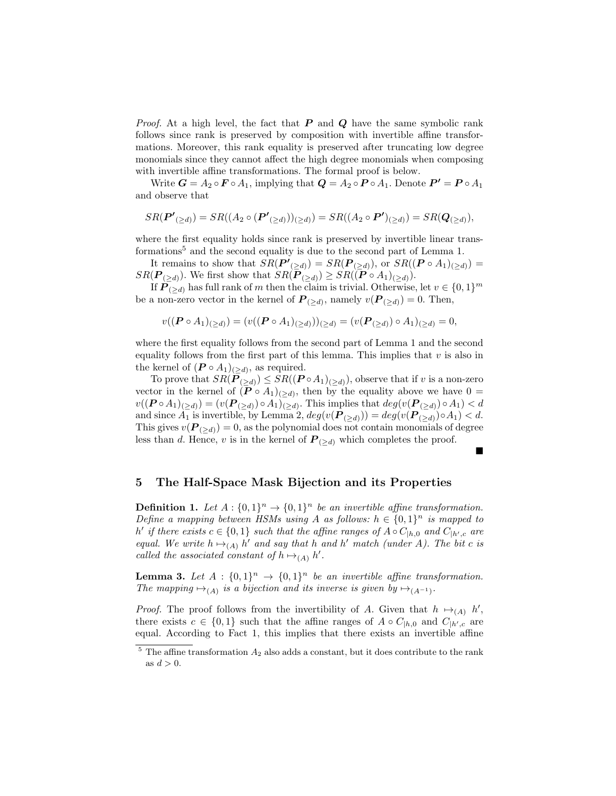*Proof.* At a high level, the fact that  $P$  and  $Q$  have the same symbolic rank follows since rank is preserved by composition with invertible affine transformations. Moreover, this rank equality is preserved after truncating low degree monomials since they cannot affect the high degree monomials when composing with invertible affine transformations. The formal proof is below.

Write  $G = A_2 \circ \mathbf{F} \circ A_1$ , implying that  $\mathbf{Q} = A_2 \circ \mathbf{P} \circ A_1$ . Denote  $\mathbf{P'} = \mathbf{P} \circ A_1$ and observe that

$$
SR(\boldsymbol{P'}_{(\ge d)}) = SR((A_2 \circ (\boldsymbol{P'}_{(\ge d)}))_{(\ge d)}) = SR((A_2 \circ \boldsymbol{P'})_{(\ge d)}) = SR(\boldsymbol{Q}_{(\ge d)}),
$$

where the first equality holds since rank is preserved by invertible linear transformations<sup>5</sup> and the second equality is due to the second part of Lemma 1.

It remains to show that  $SR(\boldsymbol{P'}_{(\ge d)}) = SR(\boldsymbol{P}_{(\ge d)}),$  or  $SR((\boldsymbol{P} \circ A_1)_{(\ge d)}) =$  $SR(\mathbf{P}_{(\ge d)})$ . We first show that  $SR(\mathbf{P}_{(\ge d)}) \ge SR((\mathbf{P} \circ A_1)_{(\ge d)})$ .

If  $\widetilde{P(z_d)}$  has full rank of m then the claim is trivial. Otherwise, let  $v \in \{0,1\}^m$ be a non-zero vector in the kernel of  $P_{(\ge d)}$ , namely  $v(P_{(\ge d)}) = 0$ . Then,

$$
v((\boldsymbol{P} \circ A_1)_{(\ge d)}) = (v((\boldsymbol{P} \circ A_1)_{(\ge d)}))_{(\ge d)} = (v(\boldsymbol{P}_{(\ge d)}) \circ A_1)_{(\ge d)} = 0,
$$

where the first equality follows from the second part of Lemma 1 and the second equality follows from the first part of this lemma. This implies that  $v$  is also in the kernel of  $(P \circ A_1)_{(\geq d)}$ , as required.

To prove that  $SR(\boldsymbol{P}_{(\ge d)}) \le SR((\boldsymbol{P} \circ A_1)_{(\ge d)})$ , observe that if v is a non-zero vector in the kernel of  $(P \circ A_1)_{(\geq d)}$ , then by the equality above we have  $0 =$  $v((\boldsymbol{P} \circ A_1)_{(\geq d)}) = (v(\boldsymbol{P}_{(\geq d)}) \circ A_1)_{(\geq d)}$ . This implies that  $deg(v(\boldsymbol{P}_{(\geq d)}) \circ A_1) < d$ and since  $A_1$  is invertible, by Lemma 2,  $deg(v(P_{(\ge d)})) = deg(v(P_{(\ge d)}) \circ A_1) < d$ . This gives  $v(P_{(>d)}) = 0$ , as the polynomial does not contain monomials of degree less than d. Hence, v is in the kernel of  $P_{(\ge d)}$  which completes the proof.

### $\blacksquare$

### 5 The Half-Space Mask Bijection and its Properties

**Definition 1.** Let  $A: \{0,1\}^n \rightarrow \{0,1\}^n$  be an invertible affine transformation. Define a mapping between HSMs using A as follows:  $h \in \{0,1\}^n$  is mapped to h' if there exists  $c \in \{0,1\}$  such that the affine ranges of  $A \circ C_{|h,0}$  and  $C_{|h',c}$  are equal. We write  $h \mapsto_{(A)} h'$  and say that h and h' match (under A). The bit c is called the associated constant of  $h \mapsto_{(A)} h'$ .

**Lemma 3.** Let  $A: \{0,1\}^n \rightarrow \{0,1\}^n$  be an invertible affine transformation. The mapping  $\mapsto_{(A)}$  is a bijection and its inverse is given by  $\mapsto_{(A^{-1})}$ .

*Proof.* The proof follows from the invertibility of A. Given that  $h \mapsto_{(A)} h'$ , there exists  $c \in \{0,1\}$  such that the affine ranges of  $A \circ C_{|h,0}$  and  $C_{|h',c}$  are equal. According to Fact 1, this implies that there exists an invertible affine

 $5$  The affine transformation  $A_2$  also adds a constant, but it does contribute to the rank as  $d > 0$ .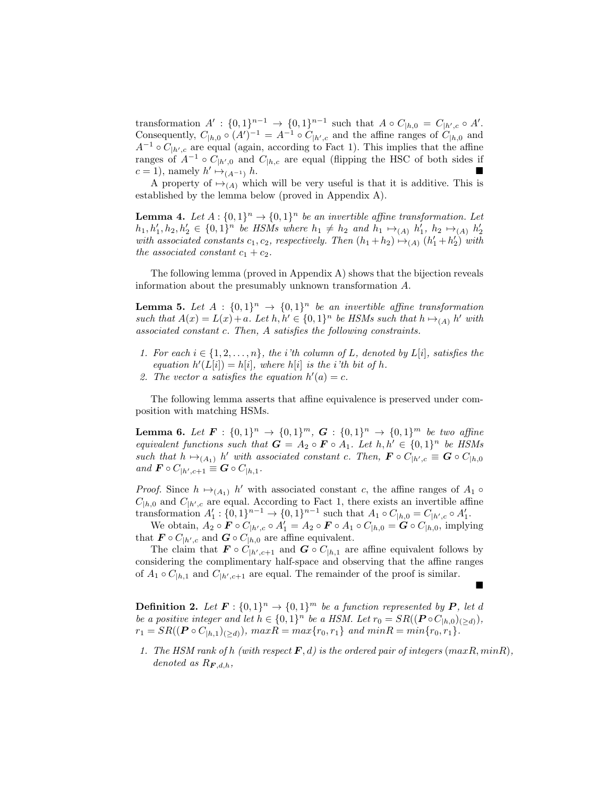transformation  $A' : \{0,1\}^{n-1} \to \{0,1\}^{n-1}$  such that  $A \circ C_{|h,0} = C_{|h',c} \circ A'.$ Consequently,  $C_{h,0} \circ (A')^{-1} = A^{-1} \circ C_{h',c}$  and the affine ranges of  $C_{h,0}$  and  $A^{-1} \circ C_{\vert h',c}$  are equal (again, according to Fact 1). This implies that the affine ranges of  $A^{-1} \circ C_{\vert h',0}$  and  $C_{\vert h,c}$  are equal (flipping the HSC of both sides if  $c = 1$ ), namely  $h' \mapsto_{(A^{-1})} h$ .

A property of  $\mapsto_{(A)}$  which will be very useful is that it is additive. This is established by the lemma below (proved in Appendix A).

**Lemma 4.** Let  $A: \{0,1\}^n \to \{0,1\}^n$  be an invertible affine transformation. Let  $h_1, h'_1, h_2, h'_2 \in \{0, 1\}^n$  be HSMs where  $h_1 \neq h_2$  and  $h_1 \mapsto_{(A)} h'_1$ ,  $h_2 \mapsto_{(A)} h'_2$ with associated constants  $c_1, c_2$ , respectively. Then  $(h_1 + h_2) \mapsto_{(A)} (h'_1 + h'_2)$  with the associated constant  $c_1 + c_2$ .

The following lemma (proved in Appendix  $A$ ) shows that the bijection reveals information about the presumably unknown transformation A.

**Lemma 5.** Let  $A : \{0,1\}^n \rightarrow \{0,1\}^n$  be an invertible affine transformation such that  $A(x) = L(x) + a$ . Let  $h, h' \in \{0, 1\}^n$  be HSMs such that  $h \mapsto_{(A)} h'$  with associated constant c. Then, A satisfies the following constraints.

- 1. For each  $i \in \{1, 2, \ldots, n\}$ , the *i*'th column of L, denoted by L[i], satisfies the equation  $h'(L[i]) = h[i]$ , where  $h[i]$  is the *i*'th bit of h.
- 2. The vector a satisfies the equation  $h'(a) = c$ .

The following lemma asserts that affine equivalence is preserved under composition with matching HSMs.

**Lemma 6.** Let  $F : \{0,1\}^n \to \{0,1\}^m$ ,  $G : \{0,1\}^n \to \{0,1\}^m$  be two affine equivalent functions such that  $G = A_2 \circ F \circ A_1$ . Let  $h, h' \in \{0, 1\}^n$  be HSMs such that  $h \mapsto_{(A_1)} h'$  with associated constant c. Then,  $\mathbf{F} \circ C_{|h',c} \equiv \mathbf{G} \circ C_{|h,0}$ and  $\mathbf{F} \circ C_{|h',c+1} \equiv \mathbf{G} \circ C_{|h,1}$ .

*Proof.* Since  $h \mapsto_{(A_1)} h'$  with associated constant c, the affine ranges of  $A_1 \circ$  $C_{h,0}$  and  $C_{h',c}$  are equal. According to Fact 1, there exists an invertible affine transformation  $A'_1$ :  $\{0,1\}^{n-1} \to \{0,1\}^{n-1}$  such that  $A_1 \circ C_{|h,0} = C_{|h',c} \circ A'_1$ .

We obtain,  $A_2 \circ \mathbf{F} \circ C_{|h',c} \circ A_1' = A_2 \circ \mathbf{F} \circ A_1 \circ C_{|h,0} = \mathbf{G} \circ C_{|h,0}$ , implying that  $\mathbf{F} \circ C_{|h|,c}$  and  $\mathbf{G} \circ C_{|h,0}$  are affine equivalent.

The claim that  $\mathbf{F} \circ C_{|h',c+1}$  and  $\mathbf{G} \circ C_{|h,1}$  are affine equivalent follows by considering the complimentary half-space and observing that the affine ranges of  $A_1 \circ C_{h,1}$  and  $C_{h',c+1}$  are equal. The remainder of the proof is similar.  $\blacksquare$ 

**Definition 2.** Let  $\mathbf{F}: \{0,1\}^n \to \{0,1\}^m$  be a function represented by  $\mathbf{P}$ , let d be a positive integer and let  $h \in \{0,1\}^n$  be a HSM. Let  $r_0 = SR((\boldsymbol{P} \circ C_{h,0})_{\left(\geq d\right)}),$  $r_1 = SR((\mathbf{P} \circ C_{h,1})_{(>d)})$ ,  $maxR = max\{r_0, r_1\}$  and  $minR = min\{r_0, r_1\}$ .

1. The HSM rank of h (with respect  $\mathbf{F}, d$ ) is the ordered pair of integers (maxR, minR), denoted as  $R_{\boldsymbol{F},d,h}$ ,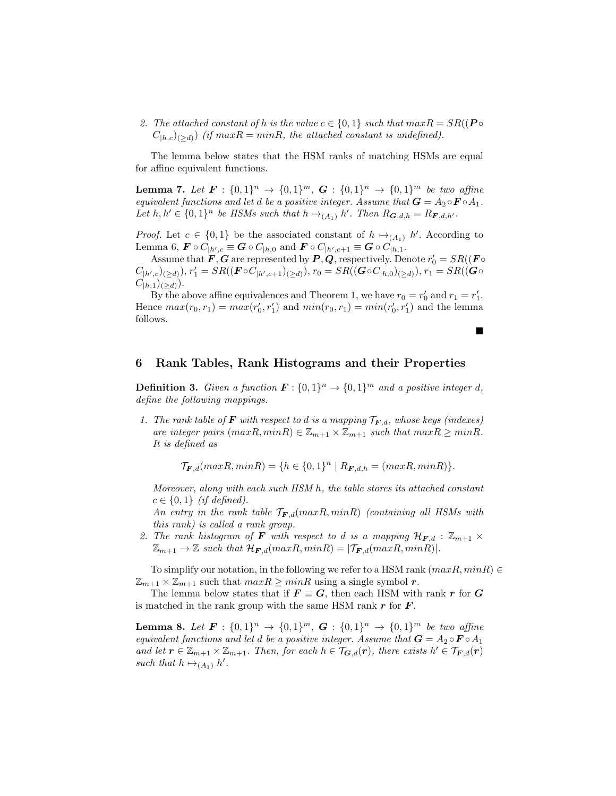2. The attached constant of h is the value  $c \in \{0,1\}$  such that  $maxR = SR((P \circ$  $C_{h,c}$ <sub>(>d)</sub>) (if maxR = minR, the attached constant is undefined).

The lemma below states that the HSM ranks of matching HSMs are equal for affine equivalent functions.

**Lemma 7.** Let  $F : \{0,1\}^n \to \{0,1\}^m$ ,  $G : \{0,1\}^n \to \{0,1\}^m$  be two affine equivalent functions and let d be a positive integer. Assume that  $G = A_2 \circ F \circ A_1$ . Let  $h, h' \in \{0,1\}^n$  be HSMs such that  $h \mapsto_{(A_1)} h'$ . Then  $R_{\mathbf{G},d,h} = R_{\mathbf{F},d,h'}$ .

*Proof.* Let  $c \in \{0,1\}$  be the associated constant of  $h \mapsto_{(A_1)} h'$ . According to Lemma 6,  $\boldsymbol{F} \circ C_{|h',c} \equiv \boldsymbol{G} \circ C_{|h,0}$  and  $\boldsymbol{F} \circ C_{|h',c+1} \equiv \boldsymbol{G} \circ C_{|h,1}$ .

Assume that  $\boldsymbol{F}, \boldsymbol{G}$  are represented by  $\boldsymbol{P}, \boldsymbol{Q},$  respectively. Denote  $r'_0 = SR((\boldsymbol{F} \circ \boldsymbol{Q})^T)$  $(C_{|h',c})(\geq d)), r'_1 = SR((\mathbf{F} \circ C_{|h',c+1})(\geq d)), r_0 = SR((\mathbf{G} \circ C_{|h,0})(\geq d)), r_1 = SR((\mathbf{G} \circ C_{|h',c})(\geq d)), r_2 = SR((\mathbf{G} \circ C_{|h',c})(\geq d))$  $C_{|h,1})_{(\ge d)}$ .

By the above affine equivalences and Theorem 1, we have  $r_0 = r'_0$  and  $r_1 = r'_1$ . Hence  $max(r_0, r_1) = max(r'_0, r'_1)$  and  $min(r_0, r_1) = min(r'_0, r'_1)$  and the lemma follows.

 $\blacksquare$ 

6 Rank Tables, Rank Histograms and their Properties

**Definition 3.** Given a function  $\mathbf{F}: \{0,1\}^n \to \{0,1\}^m$  and a positive integer d, define the following mappings.

1. The rank table of **F** with respect to d is a mapping  $\mathcal{T}_{F,d}$ , whose keys (indexes) are integer pairs  $(maxR, minR) \in \mathbb{Z}_{m+1} \times \mathbb{Z}_{m+1}$  such that  $maxR \geq minR$ . It is defined as

 $\mathcal{T}_{\mathbf{F},d}(\max R, \min R) = \{h \in \{0,1\}^n \mid R_{\mathbf{F},d,h} = (\max R, \min R)\}.$ 

Moreover, along with each such HSM h, the table stores its attached constant  $c \in \{0,1\}$  (if defined).

An entry in the rank table  $\mathcal{T}_{F,d}(\max R, \min R)$  (containing all HSMs with this rank) is called a rank group.

2. The rank histogram of **F** with respect to d is a mapping  $\mathcal{H}_{F,d}$  :  $\mathbb{Z}_{m+1}$   $\times$  $\mathbb{Z}_{m+1} \to \mathbb{Z}$  such that  $\mathcal{H}_{\mathbf{F},d}(\max R, \min R) = |\mathcal{T}_{\mathbf{F},d}(\max R, \min R)|$ .

To simplify our notation, in the following we refer to a HSM rank  $(maxR, minR) \in$  $\mathbb{Z}_{m+1} \times \mathbb{Z}_{m+1}$  such that  $maxR \geq minR$  using a single symbol r.

The lemma below states that if  $\mathbf{F} \equiv \mathbf{G}$ , then each HSM with rank r for G is matched in the rank group with the same HSM rank  $r$  for  $F$ .

**Lemma 8.** Let  $F : \{0,1\}^n \to \{0,1\}^m$ ,  $G : \{0,1\}^n \to \{0,1\}^m$  be two affine equivalent functions and let d be a positive integer. Assume that  $G = A_2 \circ F \circ A_1$ and let  $r \in \mathbb{Z}_{m+1} \times \mathbb{Z}_{m+1}$ . Then, for each  $h \in \mathcal{T}_{G,d}(r)$ , there exists  $h' \in \mathcal{T}_{F,d}(r)$ such that  $h \mapsto_{(A_1)} h'$ .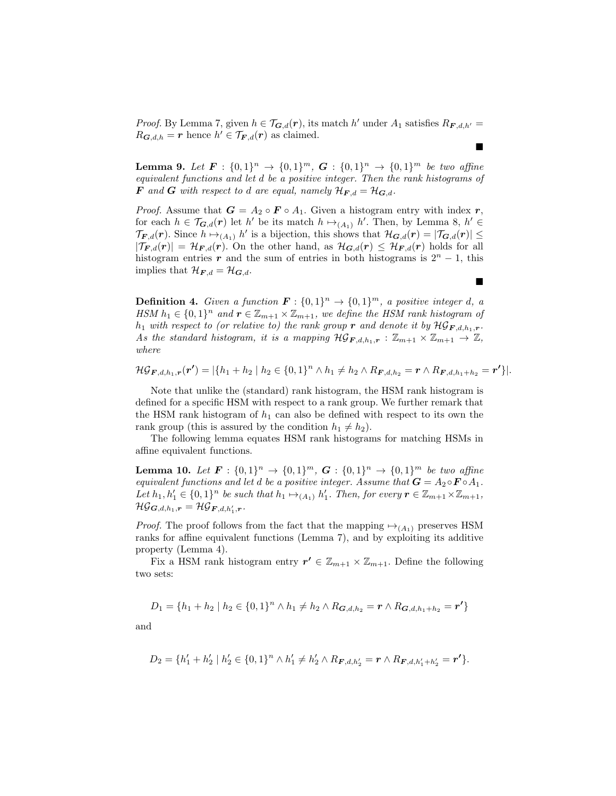*Proof.* By Lemma 7, given  $h \in \mathcal{T}_{G,d}(r)$ , its match h' under  $A_1$  satisfies  $R_{F,d,h'} =$  $R_{\mathbf{G},d,h} = \mathbf{r}$  hence  $h' \in \mathcal{T}_{\mathbf{F},d}(\mathbf{r})$  as claimed.  $\blacksquare$ 

**Lemma 9.** Let  $F: \{0,1\}^n \to \{0,1\}^m$ ,  $G: \{0,1\}^n \to \{0,1\}^m$  be two affine equivalent functions and let d be a positive integer. Then the rank histograms of **F** and **G** with respect to d are equal, namely  $\mathcal{H}_{F,d} = \mathcal{H}_{G,d}$ .

*Proof.* Assume that  $G = A_2 \circ F \circ A_1$ . Given a histogram entry with index r, for each  $h \in \mathcal{T}_{G,d}(r)$  let  $h'$  be its match  $h \mapsto_{(A_1)} h'$ . Then, by Lemma 8,  $h' \in$  $\mathcal{T}_{F,d}(r)$ . Since  $h \mapsto_{(A_1)} h'$  is a bijection, this shows that  $\mathcal{H}_{G,d}(r) = |\mathcal{T}_{G,d}(r)| \le$  $|\mathcal{T}_{\mathbf{F},d}(\mathbf{r})| = \mathcal{H}_{\mathbf{F},d}(\mathbf{r}).$  On the other hand, as  $\mathcal{H}_{\mathbf{G},d}(\mathbf{r}) \leq \mathcal{H}_{\mathbf{F},d}(\mathbf{r})$  holds for all histogram entries r and the sum of entries in both histograms is  $2<sup>n</sup> - 1$ , this implies that  $\mathcal{H}_{\boldsymbol{F},d} = \mathcal{H}_{\boldsymbol{G},d}$ .

**Definition 4.** Given a function  $\mathbf{F}: \{0,1\}^n \to \{0,1\}^m$ , a positive integer d, a HSM  $h_1 \in \{0,1\}^n$  and  $\mathbf{r} \in \mathbb{Z}_{m+1} \times \mathbb{Z}_{m+1}$ , we define the HSM rank histogram of  $h_1$  with respect to (or relative to) the rank group r and denote it by  $\mathcal{HG}_{\mathbf{F},d,h_1,\mathbf{r}}$ . As the standard histogram, it is a mapping  $\mathcal{HG}_{\mathbf{F},d,h_1,\mathbf{r}} : \mathbb{Z}_{m+1} \times \mathbb{Z}_{m+1} \to \mathbb{Z}$ , where

$$
\mathcal{HG}_{\mathbf{F},d,h_1,\mathbf{r}}(\mathbf{r'})=|\{h_1+h_2 \mid h_2 \in \{0,1\}^n \wedge h_1 \neq h_2 \wedge R_{\mathbf{F},d,h_2} = \mathbf{r} \wedge R_{\mathbf{F},d,h_1+h_2} = \mathbf{r'}\}|.
$$

 $\blacksquare$ 

Note that unlike the (standard) rank histogram, the HSM rank histogram is defined for a specific HSM with respect to a rank group. We further remark that the HSM rank histogram of  $h_1$  can also be defined with respect to its own the rank group (this is assured by the condition  $h_1 \neq h_2$ ).

The following lemma equates HSM rank histograms for matching HSMs in affine equivalent functions.

**Lemma 10.** Let  $F: \{0,1\}^n \to \{0,1\}^m$ ,  $G: \{0,1\}^n \to \{0,1\}^m$  be two affine equivalent functions and let d be a positive integer. Assume that  $G = A_2 \circ F \circ A_1$ . Let  $h_1, h'_1 \in \{0,1\}^n$  be such that  $h_1 \mapsto_{(A_1)} h'_1$ . Then, for every  $\mathbf{r} \in \mathbb{Z}_{m+1} \times \mathbb{Z}_{m+1}$ ,  $\mathcal{HG}_{\boldsymbol{G}, d, h_1, \boldsymbol{r}} = \mathcal{HG}_{\boldsymbol{F}, d, h_1', \boldsymbol{r}}.$ 

*Proof.* The proof follows from the fact that the mapping  $\mapsto_{(A_1)}$  preserves HSM ranks for affine equivalent functions (Lemma 7), and by exploiting its additive property (Lemma 4).

Fix a HSM rank histogram entry  $r' \in \mathbb{Z}_{m+1} \times \mathbb{Z}_{m+1}$ . Define the following two sets:

$$
D_1 = \{h_1 + h_2 \mid h_2 \in \{0,1\}^n \wedge h_1 \neq h_2 \wedge R_{\mathbf{G},d,h_2} = \mathbf{r} \wedge R_{\mathbf{G},d,h_1+h_2} = \mathbf{r'}\}
$$

and

$$
D_2 = \{h'_1 + h'_2 \mid h'_2 \in \{0,1\}^n \wedge h'_1 \neq h'_2 \wedge R_{\boldsymbol{F},d,h'_2} = \boldsymbol{r} \wedge R_{\boldsymbol{F},d,h'_1+h'_2} = \boldsymbol{r'}\}.
$$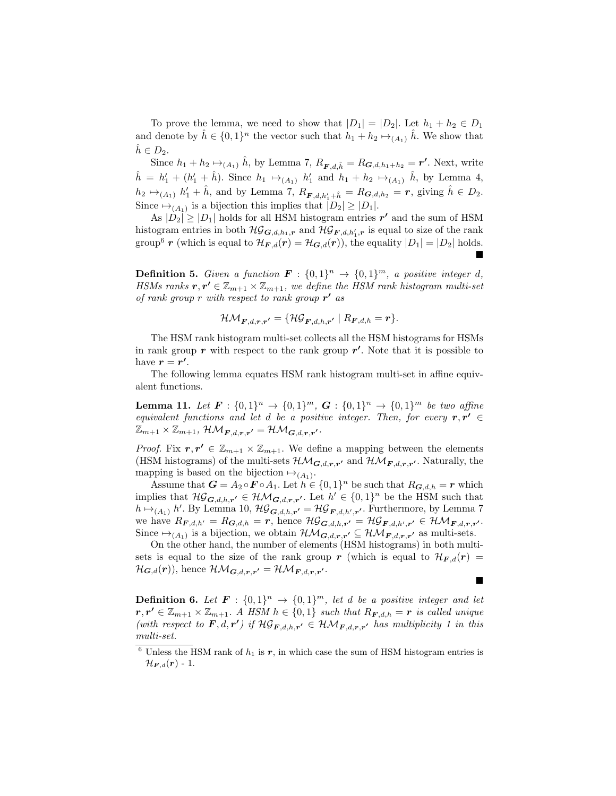To prove the lemma, we need to show that  $|D_1| = |D_2|$ . Let  $h_1 + h_2 \in D_1$ and denote by  $\hat{h} \in \{0,1\}^n$  the vector such that  $h_1 + h_2 \mapsto_{(A_1)} \hat{h}$ . We show that  $h\in D_2$ .

Since  $h_1 + h_2 \mapsto_{(A_1)} \hat{h}$ , by Lemma 7,  $R_{\boldsymbol{F},d,\hat{h}} = R_{\boldsymbol{G},d,h_1+h_2} = \boldsymbol{r'}$ . Next, write  $\hat{h} = h'_1 + (h'_1 + \hat{h})$ . Since  $h_1 \mapsto_{(A_1)} h'_1$  and  $h_1 + h_2 \mapsto_{(A_1)} \hat{h}$ , by Lemma 4,  $h_2 \mapsto_{(A_1)} h'_1 + \hat{h}$ , and by Lemma 7,  $R_{\mathbf{F},d,h'_1 + \hat{h}} = R_{\mathbf{G},d,h_2} = \mathbf{r}$ , giving  $\hat{h} \in D_2$ . Since  $\mapsto_{(A_1)}$  is a bijection this implies that  $|D_2| \geq |D_1|$ .

As  $|\tilde{D}_2| \geq |\tilde{D}_1|$  holds for all HSM histogram entries  $r'$  and the sum of HSM histogram entries in both  $\mathcal{HG}_{G,d,h_1,r}$  and  $\mathcal{HG}_{F,d,h'_1,r}$  is equal to size of the rank group<sup>6</sup> r (which is equal to  $\mathcal{H}_{F,d}(r) = \mathcal{H}_{G,d}(r)$ ), the equality  $|D_1| = |D_2|$  holds.  $\blacksquare$ 

**Definition 5.** Given a function  $\mathbf{F} : \{0,1\}^n \to \{0,1\}^m$ , a positive integer d, HSMs ranks  $r, r' \in \mathbb{Z}_{m+1} \times \mathbb{Z}_{m+1}$ , we define the HSM rank histogram multi-set of rank group r with respect to rank group  $r'$  as

$$
\mathcal{HM}_{\boldsymbol{F},d,\boldsymbol{r},\boldsymbol{r'}}=\{\mathcal{HG}_{\boldsymbol{F},d,h,\boldsymbol{r'}}\mid R_{\boldsymbol{F},d,h}=\boldsymbol{r}\}.
$$

The HSM rank histogram multi-set collects all the HSM histograms for HSMs in rank group  $r$  with respect to the rank group  $r'$ . Note that it is possible to have  $r = r'$ .

The following lemma equates HSM rank histogram multi-set in affine equivalent functions.

**Lemma 11.** Let  $F: \{0,1\}^n \to \{0,1\}^m$ ,  $G: \{0,1\}^n \to \{0,1\}^m$  be two affine equivalent functions and let d be a positive integer. Then, for every  $r, r' \in$  $\mathbb{Z}_{m+1}\times \mathbb{Z}_{m+1}, \, \mathcal{HM}_{\boldsymbol{F},d,\boldsymbol{r},\boldsymbol{r'}} = \mathcal{HM}_{\boldsymbol{G},d,\boldsymbol{r},\boldsymbol{r'}}.$ 

*Proof.* Fix  $r, r' \in \mathbb{Z}_{m+1} \times \mathbb{Z}_{m+1}$ . We define a mapping between the elements (HSM histograms) of the multi-sets  $\mathcal{HM}_{G,d,r,r'}$  and  $\mathcal{HM}_{F,d,r,r'}$ . Naturally, the mapping is based on the bijection  $\mapsto_{(A_1)}$ .

Assume that  $G = A_2 \circ F \circ A_1$ . Let  $h \in \{0,1\}^n$  be such that  $R_{G,d,h} = r$  which implies that  $\mathcal{HG}_{G,d,h,r'} \in \mathcal{HM}_{G,d,r,r'}$ . Let  $h' \in \{0,1\}^n$  be the HSM such that  $h \mapsto_{(A_1)} h'$ . By Lemma 10,  $\mathcal{HG}_{\mathbf{G},d,h,r'} = \mathcal{HG}_{\mathbf{F},d,h',r'}$ . Furthermore, by Lemma 7 we have  $R_{\boldsymbol{F},d,h'} = R_{\boldsymbol{G},d,h} = \boldsymbol{r}$ , hence  $\mathcal{HG}_{\boldsymbol{G},d,h,r'} = \mathcal{HG}_{\boldsymbol{F},d,h',r'} \in \mathcal{HM}_{\boldsymbol{F},d,\boldsymbol{r},r'}.$ Since  $\mapsto_{(A_1)}$  is a bijection, we obtain  $\mathcal{HM}_{\mathbf{G},d,\mathbf{r},\mathbf{r'}} \subseteq \mathcal{HM}_{\mathbf{F},d,\mathbf{r},\mathbf{r'}}$  as multi-sets.

On the other hand, the number of elements (HSM histograms) in both multisets is equal to the size of the rank group r (which is equal to  $\mathcal{H}_{F,d}(r) =$  $\mathcal{H}_{\mathbf{G},d}(\mathbf{r})$ ), hence  $\mathcal{HM}_{\mathbf{G},d,\mathbf{r},\mathbf{r'}} = \mathcal{HM}_{\mathbf{F},d,\mathbf{r},\mathbf{r'}}$ .

**Definition 6.** Let  $\mathbf{F} : \{0,1\}^n \to \{0,1\}^m$ , let d be a positive integer and let  $r, r' \in \mathbb{Z}_{m+1} \times \mathbb{Z}_{m+1}$ . A HSM  $h \in \{0,1\}$  such that  $R_{\boldsymbol{F},d,h} = r$  is called unique (with respect to  $\mathbf{F}, d, \mathbf{r'}$ ) if  $\mathcal{HG}_{\mathbf{F}, d,h,\mathbf{r'}} \in \mathcal{HM}_{\mathbf{F}, d,\mathbf{r},\mathbf{r'}}$  has multiplicity 1 in this multi-set.

 $\blacksquare$ 

 $6$  Unless the HSM rank of  $h_1$  is  $r$ , in which case the sum of HSM histogram entries is  $\mathcal{H}_{\boldsymbol{F},d}(\boldsymbol{r})$  - 1.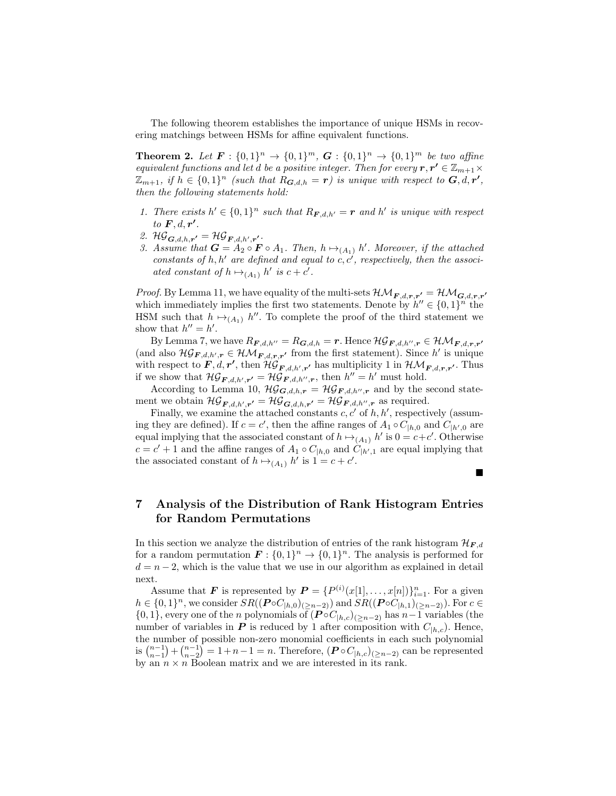The following theorem establishes the importance of unique HSMs in recovering matchings between HSMs for affine equivalent functions.

**Theorem 2.** Let  $F: \{0,1\}^n \to \{0,1\}^m$ ,  $G: \{0,1\}^n \to \{0,1\}^m$  be two affine equivalent functions and let d be a positive integer. Then for every  $r, r' \in \mathbb{Z}_{m+1} \times$  $\mathbb{Z}_{m+1}$ , if  $h \in \{0,1\}^n$  (such that  $R_{\mathbf{G},d,h} = \mathbf{r}$ ) is unique with respect to  $\mathbf{G}, d, \mathbf{r'}$ , then the following statements hold:

- 1. There exists  $h' \in \{0,1\}^n$  such that  $R_{\mathbf{F},d,h'} = \mathbf{r}$  and h' is unique with respect to  $\boldsymbol{F}, d, \boldsymbol{r'}$ .
- 2.  $\mathcal{HG}_{\mathbf{G},d,h,r'} = \mathcal{HG}_{\mathbf{F},d,h',r'}.$
- 3. Assume that  $G = A_2 \circ F \circ A_1$ . Then,  $h \mapsto_{(A_1)} h'$ . Moreover, if the attached constants of h, h' are defined and equal to  $c, c'$ , respectively, then the associated constant of  $h \mapsto_{(A_1)} h'$  is  $c + c'$ .

*Proof.* By Lemma 11, we have equality of the multi-sets  $\mathcal{HM}_{F,d,r,r'} = \mathcal{HM}_{G,d,r,r'}$ which immediately implies the first two statements. Denote by  $h'' \in \{0,1\}^n$  the HSM such that  $h \mapsto_{(A_1)} h''$ . To complete the proof of the third statement we show that  $h'' = h'$ .

By Lemma 7, we have  $R_{\bm{F},d,h''}=R_{\bm{G},d,h}=\bm{r}$ . Hence  $\mathcal{HG}_{\bm{F},d,h'',\bm{r}}\in\mathcal{HM}_{\bm{F},d,\bm{r},\bm{r}'}$ (and also  $\mathcal{HG}_{F,d,h',r} \in \mathcal{HM}_{F,d,r,r'}$  from the first statement). Since h' is unique with respect to  $\bm{F}, d, \bm{r'}$ , then  $\mathcal{H}\mathcal{G}_{\bm{F},d,h',\bm{r'}}$  has multiplicity 1 in  $\mathcal{HM}_{\bm{F},d,\bm{r},\bm{r'}}$ . Thus if we show that  $\mathcal{HG}_{\mathbf{F},d,h',\mathbf{r'}} = \mathcal{HG}_{\mathbf{F},d,h'',\mathbf{r}}$ , then  $h'' = h'$  must hold.

According to Lemma 10,  $\mathcal{HG}_{\mathbf{G},d,h,r} = \mathcal{HG}_{\mathbf{F},d,h'',r}$  and by the second statement we obtain  $\mathcal{HG}_{\mathbf{F},d,h',r'} = \mathcal{HG}_{\mathbf{G},d,h,r'} = \mathcal{HG}_{\mathbf{F},d,h'',r}$  as required.

Finally, we examine the attached constants  $c, c'$  of  $h, h'$ , respectively (assuming they are defined). If  $c = c'$ , then the affine ranges of  $A_1 \circ C_{h,0}$  and  $C_{h',0}$  are equal implying that the associated constant of  $h \mapsto_{(A_1)} h'$  is  $0 = c+c'$ . Otherwise  $c = c' + 1$  and the affine ranges of  $A_1 \circ C_{h,0}$  and  $C_{h',1}$  are equal implying that the associated constant of  $h \mapsto_{(A_1)} h'$  is  $1 = c + c'$ .

#### П

# 7 Analysis of the Distribution of Rank Histogram Entries for Random Permutations

In this section we analyze the distribution of entries of the rank histogram  $\mathcal{H}_{F,d}$ for a random permutation  $\mathbf{F}:\{0,1\}^n \to \{0,1\}^n$ . The analysis is performed for  $d = n - 2$ , which is the value that we use in our algorithm as explained in detail next.

Assume that **F** is represented by  $P = \{P^{(i)}(x[1],...,x[n])\}_{i=1}^n$ . For a given  $h \in \{0,1\}^n$ , we consider  $SR((\boldsymbol{P} \circ \boldsymbol{C}_{h,0})_{(n-2)})$  and  $SR((\boldsymbol{P} \circ \boldsymbol{C}_{h,1})_{(n-2)})$ . For  $c \in$  ${0, 1}$ , every one of the *n* polynomials of  $(P \circ C_{h,c})_{(n-2)}$  has  $n-1$  variables (the number of variables in **P** is reduced by 1 after composition with  $C_{h,c}$ . Hence, the number of possible non-zero monomial coefficients in each such polynomial is  $\binom{n-1}{n-1} + \binom{n-1}{n-2} = 1+n-1 = n$ . Therefore,  $(P \circ C_{|h,c})_{(n-2)}$  can be represented by an  $n \times n$  Boolean matrix and we are interested in its rank.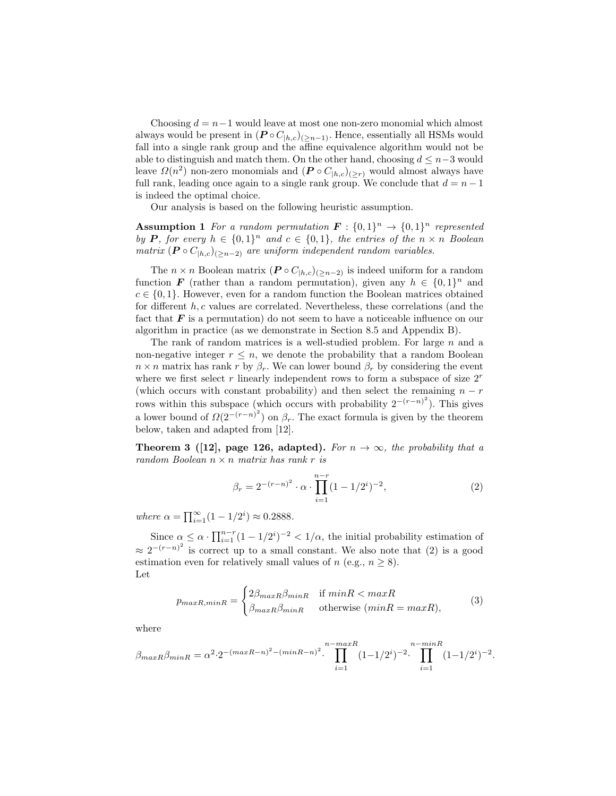Choosing  $d = n-1$  would leave at most one non-zero monomial which almost always would be present in  $(P \circ C_{h,c})_{(>n-1)}$ . Hence, essentially all HSMs would fall into a single rank group and the affine equivalence algorithm would not be able to distinguish and match them. On the other hand, choosing  $d \leq n-3$  would leave  $\Omega(n^2)$  non-zero monomials and  $(P \circ C_{|h,c})_{(>r)}$  would almost always have full rank, leading once again to a single rank group. We conclude that  $d = n - 1$ is indeed the optimal choice.

Our analysis is based on the following heuristic assumption.

**Assumption 1** For a random permutation  $\mathbf{F}: \{0,1\}^n \to \{0,1\}^n$  represented by P, for every  $h \in \{0,1\}^n$  and  $c \in \{0,1\}$ , the entries of the  $n \times n$  Boolean matrix  $(P \circ C_{h,c})_{(n-2)}$  are uniform independent random variables.

The  $n \times n$  Boolean matrix  $(P \circ C_{h,c})_{(n-2)}$  is indeed uniform for a random function **F** (rather than a random permutation), given any  $h \in \{0,1\}^n$  and  $c \in \{0, 1\}$ . However, even for a random function the Boolean matrices obtained for different  $h, c$  values are correlated. Nevertheless, these correlations (and the fact that  $\bm{F}$  is a permutation) do not seem to have a noticeable influence on our algorithm in practice (as we demonstrate in Section 8.5 and Appendix B).

The rank of random matrices is a well-studied problem. For large  $n$  and a non-negative integer  $r \leq n$ , we denote the probability that a random Boolean  $n \times n$  matrix has rank r by  $\beta_r$ . We can lower bound  $\beta_r$  by considering the event where we first select r linearly independent rows to form a subspace of size  $2<sup>r</sup>$ (which occurs with constant probability) and then select the remaining  $n - r$ rows within this subspace (which occurs with probability  $2^{-(r-n)^2}$ ). This gives a lower bound of  $\Omega(2^{-(r-n)^2})$  on  $\beta_r$ . The exact formula is given by the theorem below, taken and adapted from [12].

Theorem 3 ([12], page 126, adapted). For  $n \to \infty$ , the probability that a random Boolean  $n \times n$  matrix has rank r is

$$
\beta_r = 2^{-(r-n)^2} \cdot \alpha \cdot \prod_{i=1}^{n-r} (1 - 1/2^i)^{-2},\tag{2}
$$

where  $\alpha = \prod_{i=1}^{\infty} (1 - 1/2^i) \approx 0.2888$ .

Since  $\alpha \leq \alpha \cdot \prod_{i=1}^{n-r} (1 - 1/2^i)^{-2} < 1/\alpha$ , the initial probability estimation of  $\approx 2^{-(r-n)^2}$  is correct up to a small constant. We also note that (2) is a good estimation even for relatively small values of  $n$  (e.g.,  $n > 8$ ). Let

$$
p_{maxR,minR} = \begin{cases} 2\beta_{maxR}\beta_{minR} & \text{if } minR < maxR\\ \beta_{maxR}\beta_{minR} & \text{otherwise } (minR = maxR), \end{cases}
$$
 (3)

where

$$
\beta_{maxR}\beta_{minR} = \alpha^2 \cdot 2^{-(maxR-n)^2 - (minR-n)^2} \cdot \prod_{i=1}^{n-maxR} (1 - 1/2^i)^{-2} \cdot \prod_{i=1}^{n-minR} (1 - 1/2^i)^{-2}.
$$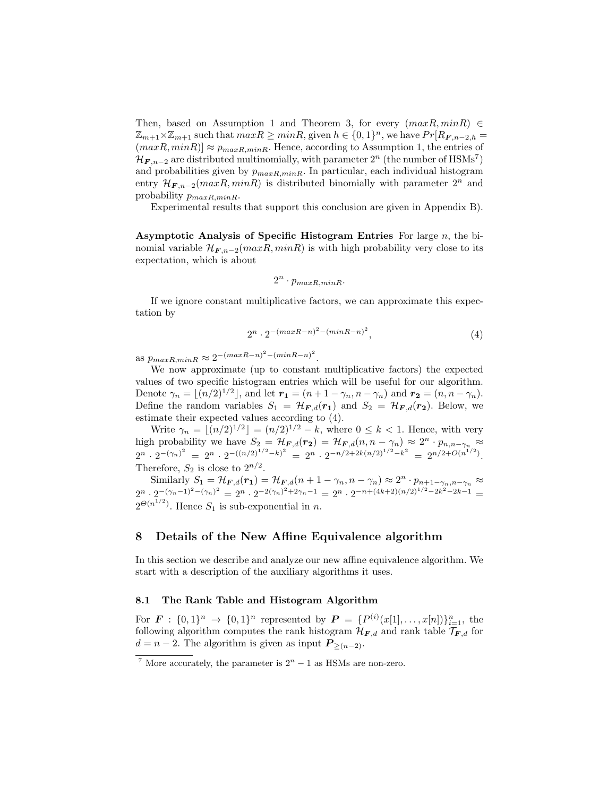Then, based on Assumption 1 and Theorem 3, for every  $(maxR, minR) \in$  $\mathbb{Z}_{m+1}\times\mathbb{Z}_{m+1}$  such that  $maxR \geq minR$ , given  $h \in \{0,1\}^n$ , we have  $Pr[R_{\mathbf{F},n-2,h} =$  $(maxR, minR] \approx p_{maxR,minR}$ . Hence, according to Assumption 1, the entries of  $\mathcal{H}_{F,n-2}$  are distributed multinomially, with parameter  $2^n$  (the number of  $\text{HSMs}^7$ ) and probabilities given by  $p_{maxR,minR}$ . In particular, each individual histogram entry  $\mathcal{H}_{F, n-2}(maxR, minR)$  is distributed binomially with parameter  $2^n$  and probability  $p_{maxR,minR}$ .

Experimental results that support this conclusion are given in Appendix B).

Asymptotic Analysis of Specific Histogram Entries For large  $n$ , the binomial variable  $\mathcal{H}_{F, n-2}(maxR, minR)$  is with high probability very close to its expectation, which is about

$$
2^n \cdot p_{maxR,minR}.
$$

If we ignore constant multiplicative factors, we can approximate this expectation by

$$
2^n \cdot 2^{-(maxR-n)^2 - (minR-n)^2}, \tag{4}
$$

as  $p_{maxR,minR} \approx 2^{-(maxR-n)^2 - (minR-n)^2}$ .

We now approximate (up to constant multiplicative factors) the expected values of two specific histogram entries which will be useful for our algorithm. Denote  $\gamma_n = \lfloor (n/2)^{1/2} \rfloor$ , and let  $r_1 = (n + 1 - \gamma_n, n - \gamma_n)$  and  $r_2 = (n, n - \gamma_n)$ . Define the random variables  $S_1 = \mathcal{H}_{F,d}(r_1)$  and  $S_2 = \mathcal{H}_{F,d}(r_2)$ . Below, we estimate their expected values according to (4).

Write  $\gamma_n = \lfloor (n/2)^{1/2} \rfloor = (n/2)^{1/2} - k$ , where  $0 \le k < 1$ . Hence, with very high probability we have  $S_2 = \mathcal{H}_{F,d}(r_2) = \mathcal{H}_{F,d}(n, n - \gamma_n) \approx 2^n \cdot p_{n,n-\gamma_n} \approx$  $2^{n} \cdot 2^{-(\gamma_n)^2} = 2^{n} \cdot 2^{-((n/2)^{1/2}-k)^2} = 2^{n} \cdot 2^{-n/2+2k(n/2)^{1/2}-k^2} = 2^{n/2+O(n^{1/2})}.$ Therefore,  $S_2$  is close to  $2^{n/2}$ .

Similarly  $S_1 = \mathcal{H}_{F,d}(r_1) = \mathcal{H}_{F,d}(n_1 + \cdots + n_n, n - \gamma_n) \approx 2^n \cdot p_{n+1-\gamma_n, n-\gamma_n} \approx$  $2^{n} \cdot 2^{-(\gamma_n-1)^2-(\gamma_n)^2} = 2^{n} \cdot 2^{-2(\gamma_n)^2+2\gamma_n-1} = 2^{n} \cdot 2^{-n+(4k+2)(n/2)^{1/2}-2k^2-2k-1}$  $2^{\Theta(n^{1/2})}$ . Hence  $S_1$  is sub-exponential in n.

### 8 Details of the New Affine Equivalence algorithm

In this section we describe and analyze our new affine equivalence algorithm. We start with a description of the auxiliary algorithms it uses.

### 8.1 The Rank Table and Histogram Algorithm

For  $\mathbf{F} : \{0,1\}^n \to \{0,1\}^n$  represented by  $\mathbf{P} = \{P^{(i)}(x[1],...,x[n])\}_{i=1}^n$ , the following algorithm computes the rank histogram  $\mathcal{H}_{F,d}$  and rank table  $\mathcal{T}_{F,d}$  for  $d = n - 2$ . The algorithm is given as input  $P_{\geq (n-2)}$ .

<sup>&</sup>lt;sup>7</sup> More accurately, the parameter is  $2<sup>n</sup> - 1$  as HSMs are non-zero.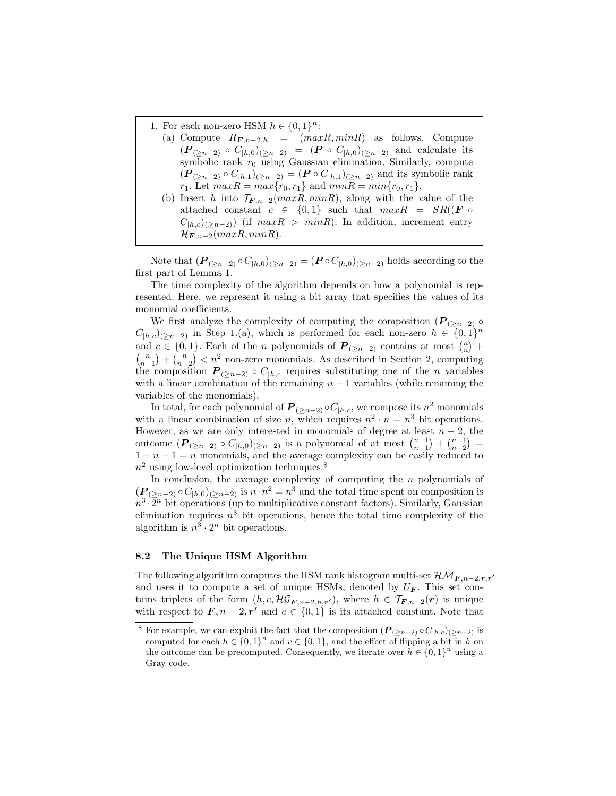1. For each non-zero HSM  $h \in \{0,1\}^n$ :

- (a) Compute  $R_{\boldsymbol{F},n-2,h}$  =  $(maxR,minR)$  as follows. Compute  $(P_{(\geq n-2)} \circ C_{|h,0})(_{\geq n-2}) = (P \circ C_{|h,0})(_{\geq n-2})$  and calculate its symbolic rank  $r_0$  using Gaussian elimination. Similarly, compute  $(P_{(>n-2)} \circ C_{h,1})_{(geq n-2)} = (P \circ C_{h,1})_{(geq n-2)}$  and its symbolic rank  $r_1$ . Let  $maxR = max\{r_0, r_1\}$  and  $minR = min\{r_0, r_1\}$ .
- (b) Insert h into  $\mathcal{T}_{F,n-2}(maxR, minR)$ , along with the value of the attached constant  $c \in \{0,1\}$  such that  $maxR = SR((F \circ$  $C_{[h,c)(>n-2)}$ ) (if  $maxR > minR$ ). In addition, increment entry  $\mathcal{H}_{F,n-2}(maxR, minR).$

Note that  $(P_{(\geq n-2)} \circ C_{|h,0})(\geq n-2) = (P \circ C_{|h,0})(\geq n-2)$  holds according to the first part of Lemma 1.

The time complexity of the algorithm depends on how a polynomial is represented. Here, we represent it using a bit array that specifies the values of its monomial coefficients.

We first analyze the complexity of computing the composition  $(P_{(\geq n-2)} \circ$  $C_{|h,c}$ <sub>(≥n−2)</sub> in Step 1.(a), which is performed for each non-zero  $h \in (0,1]^n$ and  $c \in \{0,1\}$ . Each of the *n* polynomials of  $P_{(\geq n-2)}$  contains at most  $\binom{n}{n}$  +  $\binom{n}{n-1} + \binom{n}{n-2} < n^2$  non-zero monomials. As described in Section 2, computing the composition  $P_{(\geq n-2)} \circ C_{h,c}$  requires substituting one of the *n* variables with a linear combination of the remaining  $n - 1$  variables (while renaming the variables of the monomials).

In total, for each polynomial of  $\textbf{\textit{P}}_{(\geq n-2)} \circ C_{|h,c}$ , we compose its  $n^2$  monomials with a linear combination of size n, which requires  $n^2 \cdot n = n^3$  bit operations. However, as we are only interested in monomials of degree at least  $n-2$ , the outcome  $(P_{(\geq n-2)} \circ C_{|h,0})_{(\geq n-2)}$  is a polynomial of at most  $\binom{n-1}{n-1} + \binom{n-1}{n-2} =$  $1 + n - 1 = n$  monomials, and the average complexity can be easily reduced to  $n<sup>2</sup>$  using low-level optimization techniques.<sup>8</sup>

In conclusion, the average complexity of computing the  $n$  polynomials of  $(P_{(\geq n-2)} \circ C_{h,0})_{(\geq n-2)}$  is  $n \cdot n^2 = n^3$  and the total time spent on composition is  $n^3 \cdot 2^n$  bit operations (up to multiplicative constant factors). Similarly, Gaussian elimination requires  $n^3$  bit operations, hence the total time complexity of the algorithm is  $n^3 \cdot 2^n$  bit operations.

#### 8.2 The Unique HSM Algorithm

The following algorithm computes the HSM rank histogram multi-set  $\mathcal{HM}_{F,n-2,\boldsymbol{r},\boldsymbol{r'}}$ and uses it to compute a set of unique HSMs, denoted by  $U_F$ . This set contains triplets of the form  $(h, c, \mathcal{HG}_{F,n-2,h,r'})$ , where  $h \in \mathcal{T}_{F,n-2}(r)$  is unique with respect to  $\mathbf{F}, n-2, r'$  and  $c \in \{0, 1\}$  is its attached constant. Note that

<sup>&</sup>lt;sup>8</sup> For example, we can exploit the fact that the composition  $(P_{(\geq n-2)} \circ C_{|h,c})_{(\geq n-2)}$  is computed for each  $h \in \{0,1\}^n$  and  $c \in \{0,1\}$ , and the effect of flipping a bit in h on the outcome can be precomputed. Consequently, we iterate over  $h \in \{0,1\}^n$  using a Gray code.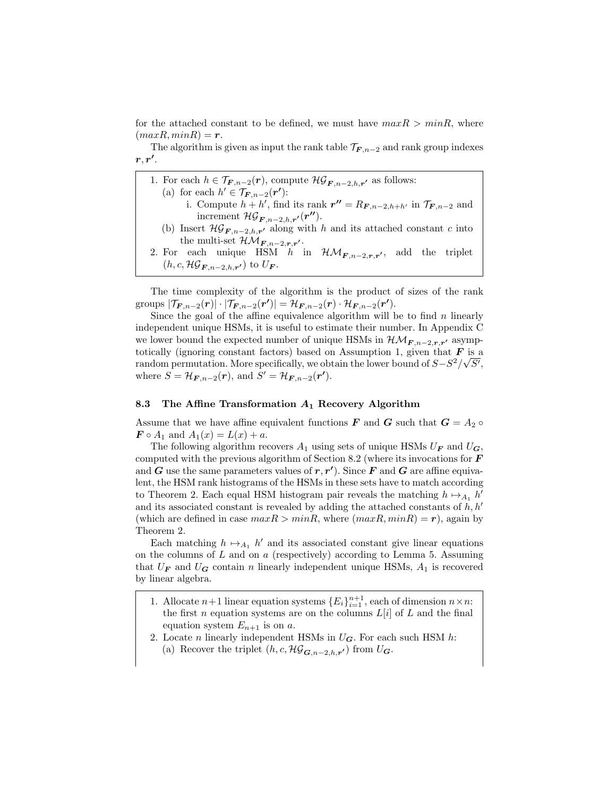for the attached constant to be defined, we must have  $maxR > minR$ , where  $(maxR, minR) = r.$ 

The algorithm is given as input the rank table  $\mathcal{T}_{F,n-2}$  and rank group indexes  $r, r'.$ 

- 1. For each  $h \in \mathcal{T}_{\mathbf{F},n-2}(\mathbf{r})$ , compute  $\mathcal{HG}_{\mathbf{F},n-2,h,\mathbf{r}'}$  as follows: (a) for each  $h' \in \mathcal{T}_{\mathbf{F},n-2}(\mathbf{r'})$ : i. Compute  $h + h'$ , find its rank  $r'' = R_{F,n-2,h+h'}$  in  $\mathcal{T}_{F,n-2}$  and increment  $\mathcal{HG}_{\mathbf{F},n-2,h,r'}(\mathbf{r''}).$ (b) Insert  $\mathcal{HG}_{\mathbf{F},n-2,h,\mathbf{r'}}$  along with h and its attached constant c into the multi-set  $\mathcal{HM}_{F,n-2,\mathbf{r},\mathbf{r'}}$ . 2. For each unique HSM h in  $\mathcal{HM}_{F,n-2,r,r'}$ , add the triplet  $(h, c, \mathcal{HG}_{\mathbf{F}, n-2,h,\mathbf{r}'})$  to  $U_{\mathbf{F}}$ .
- The time complexity of the algorithm is the product of sizes of the rank

groups  $|\mathcal{T}_{\mathbf{F},n-2}(\mathbf{r})| \cdot |\mathcal{T}_{\mathbf{F},n-2}(\mathbf{r'})| = \mathcal{H}_{\mathbf{F},n-2}(\mathbf{r}) \cdot \mathcal{H}_{\mathbf{F},n-2}(\mathbf{r'}).$ Since the goal of the affine equivalence algorithm will be to find  $n$  linearly independent unique HSMs, it is useful to estimate their number. In Appendix C we lower bound the expected number of unique HSMs in  $\mathcal{HM}_{F,n-2,\mathbf{r},\mathbf{r'}}$  asymptotically (ignoring constant factors) based on Assumption 1, given that  $\boldsymbol{F}$  is a random permutation. More specifically, we obtain the lower bound of  $S-S^2/\sqrt{S'}$ , where  $S = \mathcal{H}_{F,n-2}(r)$ , and  $S' = \mathcal{H}_{F,n-2}(r')$ .

#### 8.3 The Affine Transformation  $A_1$  Recovery Algorithm

Assume that we have affine equivalent functions **F** and **G** such that  $G = A_2 \circ$  $\bm{F} \circ A_1$  and  $A_1(x) = L(x) + a$ .

The following algorithm recovers  $A_1$  using sets of unique HSMs  $U_F$  and  $U_G$ , computed with the previous algorithm of Section 8.2 (where its invocations for  $\bm{F}$ and G use the same parameters values of  $r, r'$ ). Since F and G are affine equivalent, the HSM rank histograms of the HSMs in these sets have to match according to Theorem 2. Each equal HSM histogram pair reveals the matching  $h \mapsto_{A_1} h'$ and its associated constant is revealed by adding the attached constants of  $h, h'$ (which are defined in case  $maxR > minR$ , where  $(maxR, minR) = r$ ), again by Theorem 2.

Each matching  $h \mapsto_{A_1} h'$  and its associated constant give linear equations on the columns of  $L$  and on  $a$  (respectively) according to Lemma 5. Assuming that  $U_F$  and  $U_G$  contain n linearly independent unique HSMs,  $A_1$  is recovered by linear algebra.

- 1. Allocate  $n+1$  linear equation systems  ${E_i}_{i=1}^{n+1}$ , each of dimension  $n \times n$ : the first n equation systems are on the columns  $L[i]$  of  $L$  and the final equation system  $E_{n+1}$  is on a.
- 2. Locate *n* linearly independent HSMs in  $U_G$ . For each such HSM *h*:
	- (a) Recover the triplet  $(h, c, \mathcal{HG}_{\mathbf{G},n-2,h,r'})$  from  $U_{\mathbf{G}}$ .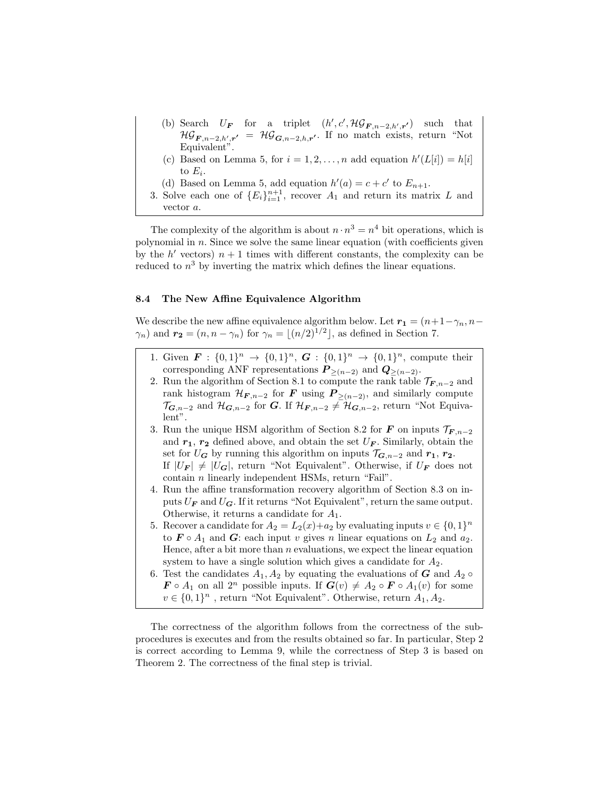- (b) Search  $U_F$  for a triplet  $(h', c', \mathcal{HG}_{F,n-2,h',r'})$  such that  $\mathcal{HG}_{\mathbf{F},n-2,h',\mathbf{r'}} = \mathcal{HG}_{\mathbf{G},n-2,h,\mathbf{r'}}$ . If no match exists, return "Not Equivalent".
- (c) Based on Lemma 5, for  $i = 1, 2, ..., n$  add equation  $h'(L[i]) = h[i]$ to  $E_i$ .
- (d) Based on Lemma 5, add equation  $h'(a) = c + c'$  to  $E_{n+1}$ .
- 3. Solve each one of  ${E_i}_{i=1}^{n+1}$ , recover  $A_1$  and return its matrix L and vector a.

The complexity of the algorithm is about  $n \cdot n^3 = n^4$  bit operations, which is polynomial in  $n$ . Since we solve the same linear equation (with coefficients given by the  $h'$  vectors)  $n + 1$  times with different constants, the complexity can be reduced to  $n^3$  by inverting the matrix which defines the linear equations.

#### 8.4 The New Affine Equivalence Algorithm

We describe the new affine equivalence algorithm below. Let  $r_1 = (n+1-\gamma_n, n-\gamma_n)$  $\gamma_n$ ) and  $\mathbf{r_2} = (n, n - \gamma_n)$  for  $\gamma_n = \lfloor (n/2)^{1/2} \rfloor$ , as defined in Section 7.

- 1. Given  $\mathbf{F}: \{0,1\}^n \to \{0,1\}^n$ ,  $\mathbf{G}: \{0,1\}^n \to \{0,1\}^n$ , compute their corresponding ANF representations  $P_{\geq (n-2)}$  and  $Q_{\geq (n-2)}$ .
- 2. Run the algorithm of Section 8.1 to compute the rank table  $\mathcal{T}_{F,n-2}$  and rank histogram  $\mathcal{H}_{F,n-2}$  for F using  $P_{\geq (n-2)}$ , and similarly compute  $\mathcal{T}_{G,n-2}$  and  $\mathcal{H}_{G,n-2}$  for G. If  $\mathcal{H}_{F,n-2}\neq \mathcal{H}_{G,n-2}$ , return "Not Equivalent".
- 3. Run the unique HSM algorithm of Section 8.2 for **F** on inputs  $\mathcal{T}_{F,n-2}$ and  $r_1$ ,  $r_2$  defined above, and obtain the set  $U_F$ . Similarly, obtain the set for  $U_G$  by running this algorithm on inputs  $\mathcal{T}_{G,n-2}$  and  $r_1, r_2$ . If  $|U_F| \neq |U_G|$ , return "Not Equivalent". Otherwise, if  $U_F$  does not contain n linearly independent HSMs, return "Fail".
- 4. Run the affine transformation recovery algorithm of Section 8.3 on inputs  $U_F$  and  $U_G$ . If it returns "Not Equivalent", return the same output. Otherwise, it returns a candidate for  $A_1$ .
- 5. Recover a candidate for  $A_2 = L_2(x)+a_2$  by evaluating inputs  $v \in \{0,1\}^n$ to  $\mathbf{F} \circ A_1$  and  $\mathbf{G}$ : each input v gives n linear equations on  $L_2$  and  $a_2$ . Hence, after a bit more than  $n$  evaluations, we expect the linear equation system to have a single solution which gives a candidate for  $A_2$ .
- 6. Test the candidates  $A_1, A_2$  by equating the evaluations of G and  $A_2 \circ$  $\mathbf{F} \circ A_1$  on all  $2^n$  possible inputs. If  $\mathbf{G}(v) \neq A_2 \circ \mathbf{F} \circ A_1(v)$  for some  $v \in \{0,1\}^n$ , return "Not Equivalent". Otherwise, return  $A_1, A_2$ .

The correctness of the algorithm follows from the correctness of the subprocedures is executes and from the results obtained so far. In particular, Step 2 is correct according to Lemma 9, while the correctness of Step 3 is based on Theorem 2. The correctness of the final step is trivial.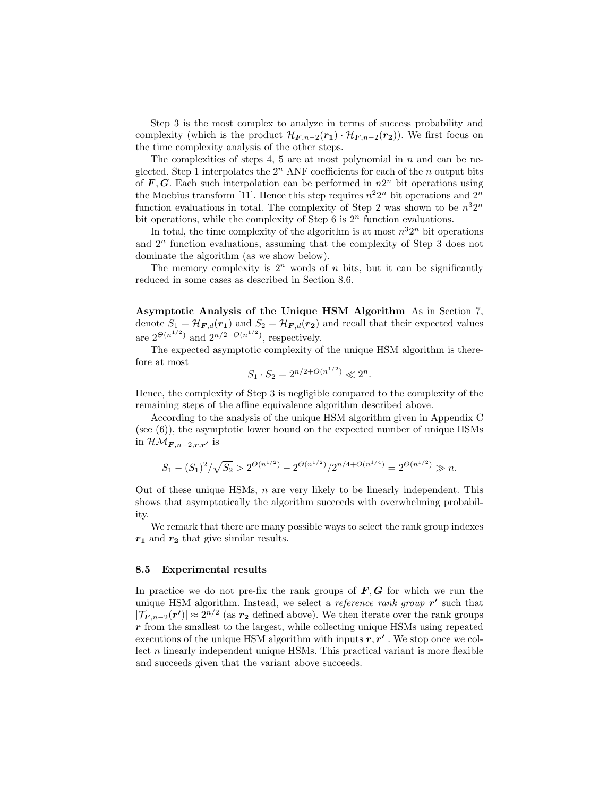Step 3 is the most complex to analyze in terms of success probability and complexity (which is the product  $\mathcal{H}_{F,n-2}(r_1) \cdot \mathcal{H}_{F,n-2}(r_2)$ ). We first focus on the time complexity analysis of the other steps.

The complexities of steps 4, 5 are at most polynomial in  $n$  and can be neglected. Step 1 interpolates the  $2<sup>n</sup>$  ANF coefficients for each of the n output bits of  $F, G$ . Each such interpolation can be performed in  $n2^n$  bit operations using the Moebius transform [11]. Hence this step requires  $n^2 2^n$  bit operations and  $2^n$ function evaluations in total. The complexity of Step 2 was shown to be  $n^32^n$ bit operations, while the complexity of Step 6 is  $2<sup>n</sup>$  function evaluations.

In total, the time complexity of the algorithm is at most  $n^32^n$  bit operations and  $2<sup>n</sup>$  function evaluations, assuming that the complexity of Step 3 does not dominate the algorithm (as we show below).

The memory complexity is  $2^n$  words of n bits, but it can be significantly reduced in some cases as described in Section 8.6.

Asymptotic Analysis of the Unique HSM Algorithm As in Section 7, denote  $S_1 = \mathcal{H}_{F,d}(r_1)$  and  $S_2 = \mathcal{H}_{F,d}(r_2)$  and recall that their expected values are  $2^{\Theta(n^{1/2})}$  and  $2^{n/2+O(n^{1/2})}$ , respectively.

The expected asymptotic complexity of the unique HSM algorithm is therefore at most

$$
S_1 \cdot S_2 = 2^{n/2 + O(n^{1/2})} \ll 2^n.
$$

Hence, the complexity of Step 3 is negligible compared to the complexity of the remaining steps of the affine equivalence algorithm described above.

According to the analysis of the unique HSM algorithm given in Appendix C (see  $(6)$ ), the asymptotic lower bound on the expected number of unique HSMs in  $\mathcal{HM}_{\boldsymbol{F},n-2,\boldsymbol{r},\boldsymbol{r'}}$  is

$$
S_1-(S_1)^2/\sqrt{S_2} > 2^{\Theta(n^{1/2})}-2^{\Theta(n^{1/2})}/2^{n/4+O(n^{1/4})}=2^{\Theta(n^{1/2})} \gg n.
$$

Out of these unique HSMs,  $n$  are very likely to be linearly independent. This shows that asymptotically the algorithm succeeds with overwhelming probability.

We remark that there are many possible ways to select the rank group indexes  $r_1$  and  $r_2$  that give similar results.

#### 8.5 Experimental results

In practice we do not pre-fix the rank groups of  $F, G$  for which we run the unique HSM algorithm. Instead, we select a *reference rank group*  $r'$  such that  $|\mathcal{T}_{F,n-2}(r')| \approx 2^{n/2}$  (as  $r_2$  defined above). We then iterate over the rank groups r from the smallest to the largest, while collecting unique HSMs using repeated executions of the unique HSM algorithm with inputs  $r, r'$  . We stop once we collect  $n$  linearly independent unique HSMs. This practical variant is more flexible and succeeds given that the variant above succeeds.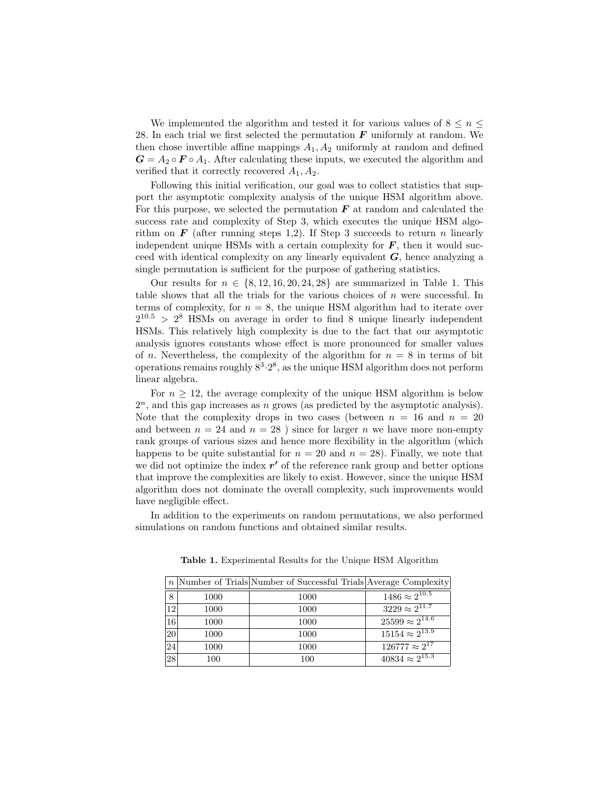We implemented the algorithm and tested it for various values of  $8 \le n \le$ 28. In each trial we first selected the permutation  $\boldsymbol{F}$  uniformly at random. We then chose invertible affine mappings  $A_1, A_2$  uniformly at random and defined  $G = A_2 \circ F \circ A_1$ . After calculating these inputs, we executed the algorithm and verified that it correctly recovered  $A_1, A_2$ .

Following this initial verification, our goal was to collect statistics that support the asymptotic complexity analysis of the unique HSM algorithm above. For this purpose, we selected the permutation  $\boldsymbol{F}$  at random and calculated the success rate and complexity of Step 3, which executes the unique HSM algorithm on  $\mathbf{F}$  (after running steps 1,2). If Step 3 succeeds to return *n* linearly independent unique HSMs with a certain complexity for  $\bm{F}$ , then it would succeed with identical complexity on any linearly equivalent  $G$ , hence analyzing a single permutation is sufficient for the purpose of gathering statistics.

Our results for  $n \in \{8, 12, 16, 20, 24, 28\}$  are summarized in Table 1. This table shows that all the trials for the various choices of  $n$  were successful. In terms of complexity, for  $n = 8$ , the unique HSM algorithm had to iterate over  $2^{10.5}$  >  $2^8$  HSMs on average in order to find 8 unique linearly independent HSMs. This relatively high complexity is due to the fact that our asymptotic analysis ignores constants whose effect is more pronounced for smaller values of n. Nevertheless, the complexity of the algorithm for  $n = 8$  in terms of bit operations remains roughly  $8^3.2^8$ , as the unique HSM algorithm does not perform linear algebra.

For  $n \geq 12$ , the average complexity of the unique HSM algorithm is below  $2<sup>n</sup>$ , and this gap increases as n grows (as predicted by the asymptotic analysis). Note that the complexity drops in two cases (between  $n = 16$  and  $n = 20$ ) and between  $n = 24$  and  $n = 28$ ) since for larger n we have more non-empty rank groups of various sizes and hence more flexibility in the algorithm (which happens to be quite substantial for  $n = 20$  and  $n = 28$ ). Finally, we note that we did not optimize the index  $r'$  of the reference rank group and better options that improve the complexities are likely to exist. However, since the unique HSM algorithm does not dominate the overall complexity, such improvements would have negligible effect.

In addition to the experiments on random permutations, we also performed simulations on random functions and obtained similar results.

|    |      | $n$ Number of Trials Number of Successful Trials Average Complexity |                                    |
|----|------|---------------------------------------------------------------------|------------------------------------|
| 8  | 1000 | 1000                                                                | $1486 \approx 2^{\overline{10.5}}$ |
| 12 | 1000 | 1000                                                                | $3229 \approx 2^{11.7}$            |
| 16 | 1000 | 1000                                                                | $25599 \approx 2^{14.6}$           |
| 20 | 1000 | 1000                                                                | $15154 \approx 2^{13.9}$           |
| 24 | 1000 | 1000                                                                | $126777 \approx 2^{17}$            |
| 28 | 100  | 100                                                                 | $40834 \approx 2^{15.3}$           |

Table 1. Experimental Results for the Unique HSM Algorithm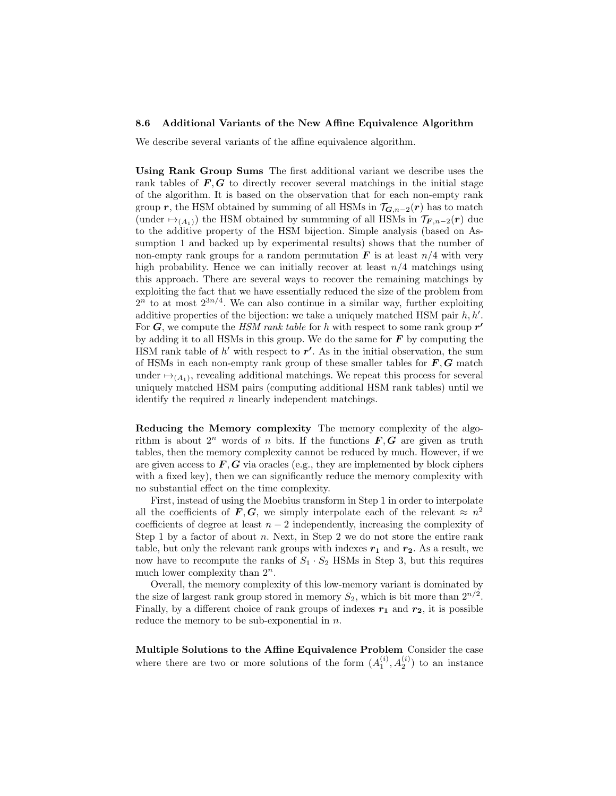#### 8.6 Additional Variants of the New Affine Equivalence Algorithm

We describe several variants of the affine equivalence algorithm.

Using Rank Group Sums The first additional variant we describe uses the rank tables of  $F, G$  to directly recover several matchings in the initial stage of the algorithm. It is based on the observation that for each non-empty rank group r, the HSM obtained by summing of all HSMs in  $\mathcal{T}_{G,n-2}(r)$  has to match (under  $\mapsto_{(A_1)}$ ) the HSM obtained by summming of all HSMs in  $\mathcal{T}_{F,n-2}(r)$  due to the additive property of the HSM bijection. Simple analysis (based on Assumption 1 and backed up by experimental results) shows that the number of non-empty rank groups for a random permutation  $\bf{F}$  is at least  $n/4$  with very high probability. Hence we can initially recover at least  $n/4$  matchings using this approach. There are several ways to recover the remaining matchings by exploiting the fact that we have essentially reduced the size of the problem from  $2^n$  to at most  $2^{3n/4}$ . We can also continue in a similar way, further exploiting additive properties of the bijection: we take a uniquely matched HSM pair  $h, h'$ . For  $G$ , we compute the HSM rank table for h with respect to some rank group  $r'$ by adding it to all HSMs in this group. We do the same for  $\bm{F}$  by computing the HSM rank table of  $h'$  with respect to  $r'$ . As in the initial observation, the sum of HSMs in each non-empty rank group of these smaller tables for  $\bm{F}, \bm{G}$  match under  $\mapsto_{(A_1)}$ , revealing additional matchings. We repeat this process for several uniquely matched HSM pairs (computing additional HSM rank tables) until we identify the required *n* linearly independent matchings.

Reducing the Memory complexity The memory complexity of the algorithm is about  $2^n$  words of n bits. If the functions  $\mathbf{F}, \mathbf{G}$  are given as truth tables, then the memory complexity cannot be reduced by much. However, if we are given access to  $\mathbf{F}, \mathbf{G}$  via oracles (e.g., they are implemented by block ciphers with a fixed key), then we can significantly reduce the memory complexity with no substantial effect on the time complexity.

First, instead of using the Moebius transform in Step 1 in order to interpolate all the coefficients of  $\mathbf{F}, \mathbf{G}$ , we simply interpolate each of the relevant  $\approx n^2$ coefficients of degree at least  $n-2$  independently, increasing the complexity of Step 1 by a factor of about  $n$ . Next, in Step 2 we do not store the entire rank table, but only the relevant rank groups with indexes  $r_1$  and  $r_2$ . As a result, we now have to recompute the ranks of  $S_1 \cdot S_2$  HSMs in Step 3, but this requires much lower complexity than  $2^n$ .

Overall, the memory complexity of this low-memory variant is dominated by the size of largest rank group stored in memory  $S_2$ , which is bit more than  $2^{n/2}$ . Finally, by a different choice of rank groups of indexes  $r_1$  and  $r_2$ , it is possible reduce the memory to be sub-exponential in  $n$ .

Multiple Solutions to the Affine Equivalence Problem Consider the case where there are two or more solutions of the form  $(A_1^{(i)}, A_2^{(i)})$  to an instance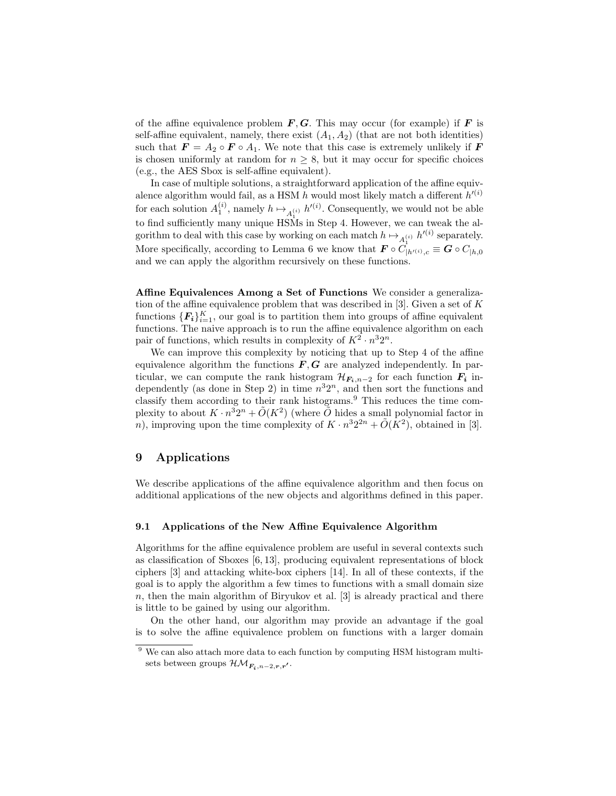of the affine equivalence problem  $F, G$ . This may occur (for example) if F is self-affine equivalent, namely, there exist  $(A_1, A_2)$  (that are not both identities) such that  $\mathbf{F} = A_2 \circ \mathbf{F} \circ A_1$ . We note that this case is extremely unlikely if  $\mathbf{F}$ is chosen uniformly at random for  $n \geq 8$ , but it may occur for specific choices (e.g., the AES Sbox is self-affine equivalent).

In case of multiple solutions, a straightforward application of the affine equivalence algorithm would fail, as a HSM  $h$  would most likely match a different  $h'^{(i)}$ for each solution  $A_1^{(i)}$ , namely  $h \mapsto_{A_1^{(i)}} h'^{(i)}$ . Consequently, we would not be able to find sufficiently many unique HSMs in Step 4. However, we can tweak the algorithm to deal with this case by working on each match  $h \mapsto_{A_1^{(i)}} h'^{(i)}$  separately. More specifically, according to Lemma 6 we know that  $\mathbf{F} \circ C_{|h^{(i)},c}^{A_1} \equiv \mathbf{G} \circ C_{|h,0}$ and we can apply the algorithm recursively on these functions.

Affine Equivalences Among a Set of Functions We consider a generalization of the affine equivalence problem that was described in  $[3]$ . Given a set of K functions  $\{F_i\}_{i=1}^K$ , our goal is to partition them into groups of affine equivalent functions. The naive approach is to run the affine equivalence algorithm on each pair of functions, which results in complexity of  $K^2 \cdot n^3 2^n$ .

We can improve this complexity by noticing that up to Step 4 of the affine equivalence algorithm the functions  $F, G$  are analyzed independently. In particular, we can compute the rank histogram  $\mathcal{H}_{F_i,n-2}$  for each function  $F_i$  independently (as done in Step 2) in time  $n^32^n$ , and then sort the functions and classify them according to their rank histograms.<sup>9</sup> This reduces the time complexity to about  $K \cdot n^3 2^n + \tilde{O}(K^2)$  (where  $\tilde{O}$  hides a small polynomial factor in *n*), improving upon the time complexity of  $K \cdot n^3 2^{2n} + \tilde{O}(K^2)$ , obtained in [3].

### 9 Applications

We describe applications of the affine equivalence algorithm and then focus on additional applications of the new objects and algorithms defined in this paper.

#### 9.1 Applications of the New Affine Equivalence Algorithm

Algorithms for the affine equivalence problem are useful in several contexts such as classification of Sboxes [6, 13], producing equivalent representations of block ciphers [3] and attacking white-box ciphers [14]. In all of these contexts, if the goal is to apply the algorithm a few times to functions with a small domain size  $n$ , then the main algorithm of Biryukov et al. [3] is already practical and there is little to be gained by using our algorithm.

On the other hand, our algorithm may provide an advantage if the goal is to solve the affine equivalence problem on functions with a larger domain

<sup>&</sup>lt;sup>9</sup> We can also attach more data to each function by computing HSM histogram multisets between groups  $\mathcal{HM}_{F_i,n-2,\boldsymbol{r},\boldsymbol{r'}}$ .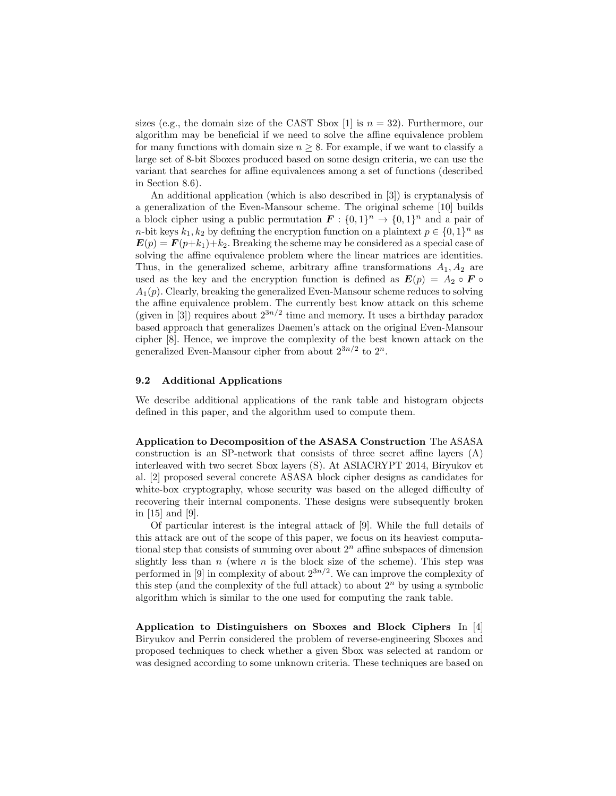sizes (e.g., the domain size of the CAST Sbox [1] is  $n = 32$ ). Furthermore, our algorithm may be beneficial if we need to solve the affine equivalence problem for many functions with domain size  $n \geq 8$ . For example, if we want to classify a large set of 8-bit Sboxes produced based on some design criteria, we can use the variant that searches for affine equivalences among a set of functions (described in Section 8.6).

An additional application (which is also described in [3]) is cryptanalysis of a generalization of the Even-Mansour scheme. The original scheme [10] builds a block cipher using a public permutation  $\mathbf{F}: \{0,1\}^n \to \{0,1\}^n$  and a pair of *n*-bit keys  $k_1, k_2$  by defining the encryption function on a plaintext  $p \in \{0, 1\}^n$  as  $\mathbf{E}(p) = \mathbf{F}(p+k_1)+k_2$ . Breaking the scheme may be considered as a special case of solving the affine equivalence problem where the linear matrices are identities. Thus, in the generalized scheme, arbitrary affine transformations  $A_1, A_2$  are used as the key and the encryption function is defined as  $E(p) = A_2 \circ F \circ$  $A_1(p)$ . Clearly, breaking the generalized Even-Mansour scheme reduces to solving the affine equivalence problem. The currently best know attack on this scheme (given in [3]) requires about  $2^{3n/2}$  time and memory. It uses a birthday paradox based approach that generalizes Daemen's attack on the original Even-Mansour cipher [8]. Hence, we improve the complexity of the best known attack on the generalized Even-Mansour cipher from about  $2^{3n/2}$  to  $2^n$ .

### 9.2 Additional Applications

We describe additional applications of the rank table and histogram objects defined in this paper, and the algorithm used to compute them.

Application to Decomposition of the ASASA Construction The ASASA construction is an SP-network that consists of three secret affine layers (A) interleaved with two secret Sbox layers (S). At ASIACRYPT 2014, Biryukov et al. [2] proposed several concrete ASASA block cipher designs as candidates for white-box cryptography, whose security was based on the alleged difficulty of recovering their internal components. These designs were subsequently broken in [15] and [9].

Of particular interest is the integral attack of [9]. While the full details of this attack are out of the scope of this paper, we focus on its heaviest computational step that consists of summing over about  $2<sup>n</sup>$  affine subspaces of dimension slightly less than n (where n is the block size of the scheme). This step was performed in [9] in complexity of about  $2^{3n/2}$ . We can improve the complexity of this step (and the complexity of the full attack) to about  $2<sup>n</sup>$  by using a symbolic algorithm which is similar to the one used for computing the rank table.

Application to Distinguishers on Sboxes and Block Ciphers In [4] Biryukov and Perrin considered the problem of reverse-engineering Sboxes and proposed techniques to check whether a given Sbox was selected at random or was designed according to some unknown criteria. These techniques are based on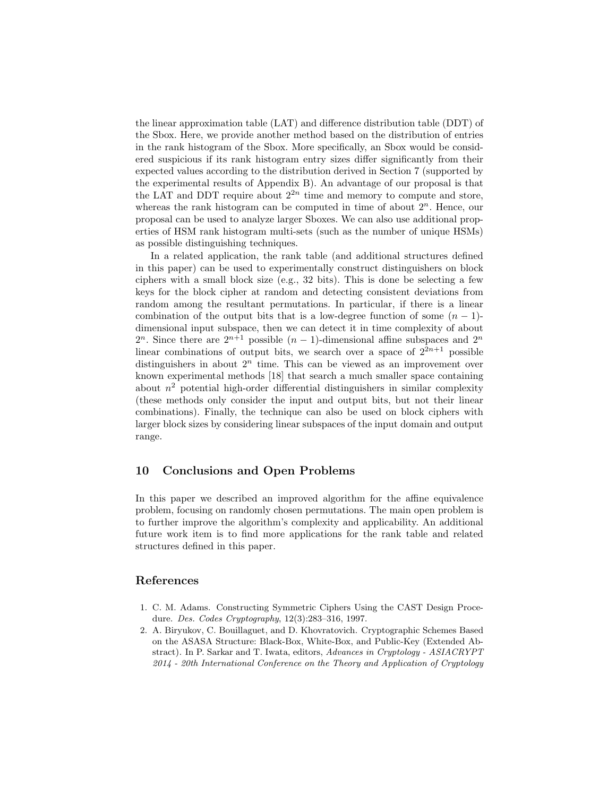the linear approximation table (LAT) and difference distribution table (DDT) of the Sbox. Here, we provide another method based on the distribution of entries in the rank histogram of the Sbox. More specifically, an Sbox would be considered suspicious if its rank histogram entry sizes differ significantly from their expected values according to the distribution derived in Section 7 (supported by the experimental results of Appendix B). An advantage of our proposal is that the LAT and DDT require about  $2^{2n}$  time and memory to compute and store, whereas the rank histogram can be computed in time of about  $2^n$ . Hence, our proposal can be used to analyze larger Sboxes. We can also use additional properties of HSM rank histogram multi-sets (such as the number of unique HSMs) as possible distinguishing techniques.

In a related application, the rank table (and additional structures defined in this paper) can be used to experimentally construct distinguishers on block ciphers with a small block size (e.g., 32 bits). This is done be selecting a few keys for the block cipher at random and detecting consistent deviations from random among the resultant permutations. In particular, if there is a linear combination of the output bits that is a low-degree function of some  $(n - 1)$ dimensional input subspace, then we can detect it in time complexity of about 2<sup>n</sup>. Since there are  $2^{n+1}$  possible  $(n-1)$ -dimensional affine subspaces and  $2^n$ linear combinations of output bits, we search over a space of  $2^{2n+1}$  possible distinguishers in about  $2^n$  time. This can be viewed as an improvement over known experimental methods [18] that search a much smaller space containing about  $n^2$  potential high-order differential distinguishers in similar complexity (these methods only consider the input and output bits, but not their linear combinations). Finally, the technique can also be used on block ciphers with larger block sizes by considering linear subspaces of the input domain and output range.

### 10 Conclusions and Open Problems

In this paper we described an improved algorithm for the affine equivalence problem, focusing on randomly chosen permutations. The main open problem is to further improve the algorithm's complexity and applicability. An additional future work item is to find more applications for the rank table and related structures defined in this paper.

### References

- 1. C. M. Adams. Constructing Symmetric Ciphers Using the CAST Design Procedure. Des. Codes Cryptography, 12(3):283–316, 1997.
- 2. A. Biryukov, C. Bouillaguet, and D. Khovratovich. Cryptographic Schemes Based on the ASASA Structure: Black-Box, White-Box, and Public-Key (Extended Abstract). In P. Sarkar and T. Iwata, editors, Advances in Cryptology - ASIACRYPT 2014 - 20th International Conference on the Theory and Application of Cryptology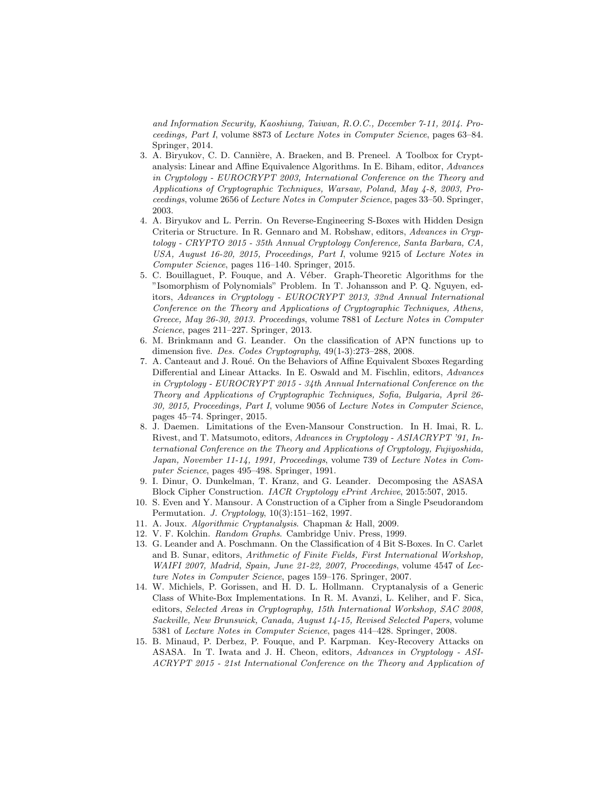and Information Security, Kaoshiung, Taiwan, R.O.C., December 7-11, 2014. Proceedings, Part I, volume 8873 of Lecture Notes in Computer Science, pages 63–84. Springer, 2014.

- 3. A. Biryukov, C. D. Cannière, A. Braeken, and B. Preneel. A Toolbox for Cryptanalysis: Linear and Affine Equivalence Algorithms. In E. Biham, editor, Advances in Cryptology - EUROCRYPT 2003, International Conference on the Theory and Applications of Cryptographic Techniques, Warsaw, Poland, May 4-8, 2003, Proceedings, volume 2656 of Lecture Notes in Computer Science, pages 33–50. Springer, 2003.
- 4. A. Biryukov and L. Perrin. On Reverse-Engineering S-Boxes with Hidden Design Criteria or Structure. In R. Gennaro and M. Robshaw, editors, Advances in Cryptology - CRYPTO 2015 - 35th Annual Cryptology Conference, Santa Barbara, CA, USA, August 16-20, 2015, Proceedings, Part I, volume 9215 of Lecture Notes in Computer Science, pages 116–140. Springer, 2015.
- 5. C. Bouillaguet, P. Fouque, and A. Véber. Graph-Theoretic Algorithms for the "Isomorphism of Polynomials" Problem. In T. Johansson and P. Q. Nguyen, editors, Advances in Cryptology - EUROCRYPT 2013, 32nd Annual International Conference on the Theory and Applications of Cryptographic Techniques, Athens, Greece, May 26-30, 2013. Proceedings, volume 7881 of Lecture Notes in Computer Science, pages 211–227. Springer, 2013.
- 6. M. Brinkmann and G. Leander. On the classification of APN functions up to dimension five. Des. Codes Cryptography, 49(1-3):273–288, 2008.
- 7. A. Canteaut and J. Roué. On the Behaviors of Affine Equivalent Sboxes Regarding Differential and Linear Attacks. In E. Oswald and M. Fischlin, editors, Advances in Cryptology - EUROCRYPT 2015 - 34th Annual International Conference on the Theory and Applications of Cryptographic Techniques, Sofia, Bulgaria, April 26- 30, 2015, Proceedings, Part I, volume 9056 of Lecture Notes in Computer Science, pages 45–74. Springer, 2015.
- 8. J. Daemen. Limitations of the Even-Mansour Construction. In H. Imai, R. L. Rivest, and T. Matsumoto, editors, Advances in Cryptology - ASIACRYPT '91, International Conference on the Theory and Applications of Cryptology, Fujiyoshida, Japan, November 11-14, 1991, Proceedings, volume 739 of Lecture Notes in Computer Science, pages 495–498. Springer, 1991.
- 9. I. Dinur, O. Dunkelman, T. Kranz, and G. Leander. Decomposing the ASASA Block Cipher Construction. IACR Cryptology ePrint Archive, 2015:507, 2015.
- 10. S. Even and Y. Mansour. A Construction of a Cipher from a Single Pseudorandom Permutation. J. Cryptology, 10(3):151–162, 1997.
- 11. A. Joux. Algorithmic Cryptanalysis. Chapman & Hall, 2009.
- 12. V. F. Kolchin. Random Graphs. Cambridge Univ. Press, 1999.
- 13. G. Leander and A. Poschmann. On the Classification of 4 Bit S-Boxes. In C. Carlet and B. Sunar, editors, Arithmetic of Finite Fields, First International Workshop, WAIFI 2007, Madrid, Spain, June 21-22, 2007, Proceedings, volume 4547 of Lecture Notes in Computer Science, pages 159–176. Springer, 2007.
- 14. W. Michiels, P. Gorissen, and H. D. L. Hollmann. Cryptanalysis of a Generic Class of White-Box Implementations. In R. M. Avanzi, L. Keliher, and F. Sica, editors, Selected Areas in Cryptography, 15th International Workshop, SAC 2008, Sackville, New Brunswick, Canada, August 14-15, Revised Selected Papers, volume 5381 of Lecture Notes in Computer Science, pages 414–428. Springer, 2008.
- 15. B. Minaud, P. Derbez, P. Fouque, and P. Karpman. Key-Recovery Attacks on ASASA. In T. Iwata and J. H. Cheon, editors, Advances in Cryptology - ASI-ACRYPT 2015 - 21st International Conference on the Theory and Application of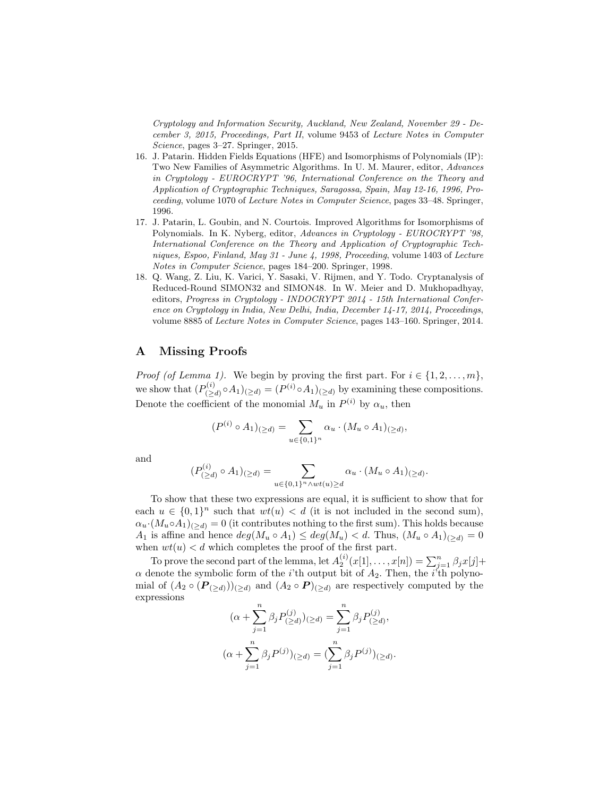Cryptology and Information Security, Auckland, New Zealand, November 29 - December 3, 2015, Proceedings, Part II, volume 9453 of Lecture Notes in Computer Science, pages 3–27. Springer, 2015.

- 16. J. Patarin. Hidden Fields Equations (HFE) and Isomorphisms of Polynomials (IP): Two New Families of Asymmetric Algorithms. In U. M. Maurer, editor, Advances in Cryptology - EUROCRYPT '96, International Conference on the Theory and Application of Cryptographic Techniques, Saragossa, Spain, May 12-16, 1996, Proceeding, volume 1070 of Lecture Notes in Computer Science, pages 33–48. Springer, 1996.
- 17. J. Patarin, L. Goubin, and N. Courtois. Improved Algorithms for Isomorphisms of Polynomials. In K. Nyberg, editor, Advances in Cryptology - EUROCRYPT '98, International Conference on the Theory and Application of Cryptographic Techniques, Espoo, Finland, May 31 - June 4, 1998, Proceeding, volume 1403 of Lecture Notes in Computer Science, pages 184–200. Springer, 1998.
- 18. Q. Wang, Z. Liu, K. Varici, Y. Sasaki, V. Rijmen, and Y. Todo. Cryptanalysis of Reduced-Round SIMON32 and SIMON48. In W. Meier and D. Mukhopadhyay, editors, Progress in Cryptology - INDOCRYPT 2014 - 15th International Conference on Cryptology in India, New Delhi, India, December 14-17, 2014, Proceedings, volume 8885 of Lecture Notes in Computer Science, pages 143–160. Springer, 2014.

### A Missing Proofs

*Proof (of Lemma 1).* We begin by proving the first part. For  $i \in \{1, 2, ..., m\}$ , we show that  $(P_{(>)}^{(i)}$  $(\sum_{i=1}^{(i)} \circ A_1)_{i \geq d} = (P^{(i)} \circ A_1)_{i \geq d}$  by examining these compositions. Denote the coefficient of the monomial  $M_u$  in  $P^{(i)}$  by  $\alpha_u$ , then

$$
(P^{(i)} \circ A_1)_{(\geq d)} = \sum_{u \in \{0,1\}^n} \alpha_u \cdot (M_u \circ A_1)_{(\geq d)},
$$

and

$$
(P_{(\geq d)}^{(i)} \circ A_1)_{(\geq d)} = \sum_{u \in \{0,1\}^n \wedge wt(u) \geq d} \alpha_u \cdot (M_u \circ A_1)_{(\geq d)}.
$$

To show that these two expressions are equal, it is sufficient to show that for each  $u \in \{0,1\}^n$  such that  $wt(u) < d$  (it is not included in the second sum),  $\alpha_u \cdot (M_u \circ A_1)_{(>d)} = 0$  (it contributes nothing to the first sum). This holds because  $A_1$  is affine and hence  $deg(M_u \circ A_1) \leq deg(M_u) < d$ . Thus,  $(M_u \circ A_1)_{(>d)} = 0$ when  $wt(u) < d$  which completes the proof of the first part.

To prove the second part of the lemma, let  $A_2^{(i)}(x[1], \ldots, x[n]) = \sum_{j=1}^n \beta_j x[j] +$  $\alpha$  denote the symbolic form of the *i*'th output bit of  $A_2$ . Then, the *i*<sup>'th</sup> polynomial of  $(A_2 \circ (P_{(\ge d)}))_{(\ge d)}$  and  $(A_2 \circ P)_{(\ge d)}$  are respectively computed by the expressions

$$
(\alpha + \sum_{j=1}^{n} \beta_j P_{(\geq d)}^{(j)})_{(\geq d)} = \sum_{j=1}^{n} \beta_j P_{(\geq d)}^{(j)},
$$
  

$$
(\alpha + \sum_{j=1}^{n} \beta_j P_{(\geq d)})_{(\geq d)} = (\sum_{j=1}^{n} \beta_j P_{(\geq d)}^{(j)})_{(\geq d)}.
$$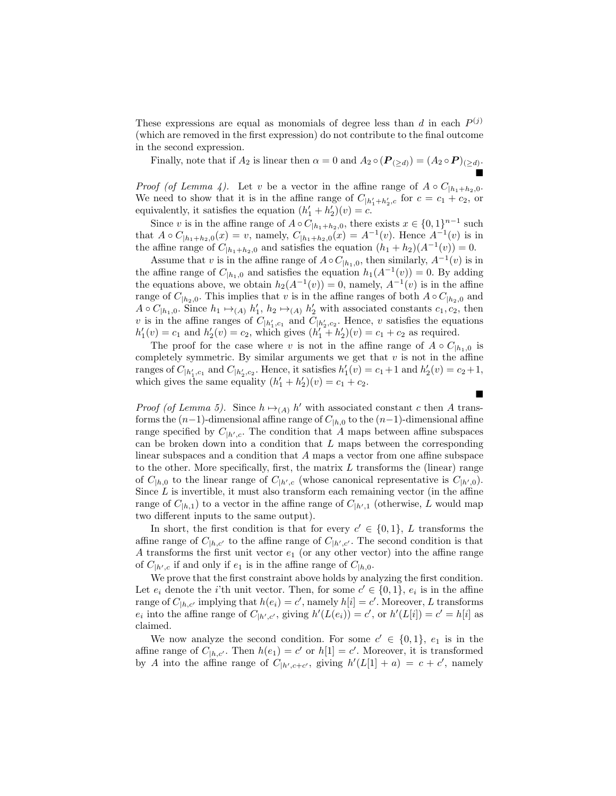These expressions are equal as monomials of degree less than  $d$  in each  $P^{(j)}$ (which are removed in the first expression) do not contribute to the final outcome in the second expression.

Finally, note that if  $A_2$  is linear then  $\alpha = 0$  and  $A_2 \circ (P_{(\ge d)}) = (A_2 \circ P)_{(\ge d)}$ . É

*Proof (of Lemma 4).* Let v be a vector in the affine range of  $A \circ C_{h_1+h_2,0}$ . We need to show that it is in the affine range of  $C_{|h'_1+h'_2,c}$  for  $c = c_1 + c_2$ , or equivalently, it satisfies the equation  $(h'_1 + h'_2)(v) = c$ .

Since v is in the affine range of  $A \circ C_{|h_1+h_2,0}$ , there exists  $x \in \{0,1\}^{n-1}$  such that  $A \circ C_{|h_1+h_2,0}(x) = v$ , namely,  $C_{|h_1+h_2,0}(x) = A^{-1}(v)$ . Hence  $A^{-1}(v)$  is in the affine range of  $C_{|h_1+h_2,0}$  and satisfies the equation  $(h_1 + h_2)(A^{-1}(v)) = 0$ .

Assume that v is in the affine range of  $A \circ C_{h_1,0}$ , then similarly,  $A^{-1}(v)$  is in the affine range of  $C_{h_1,0}$  and satisfies the equation  $h_1(A^{-1}(v)) = 0$ . By adding the equations above, we obtain  $h_2(A^{-1}(v)) = 0$ , namely,  $A^{-1}(v)$  is in the affine range of  $C_{h_2,0}$ . This implies that v is in the affine ranges of both  $A \circ C_{h_2,0}$  and  $A \circ C_{h_1,0}$ . Since  $h_1 \mapsto_{(A)} h'_1$ ,  $h_2 \mapsto_{(A)} h'_2$  with associated constants  $c_1, c_2$ , then v is in the affine ranges of  $C_{|h'_1,c_1}$  and  $C_{|h'_2,c_2}$ . Hence, v satisfies the equations  $h'_1(v) = c_1$  and  $h'_2(v) = c_2$ , which gives  $(h'_1 + h'_2)(v) = c_1 + c_2$  as required.

The proof for the case where v is not in the affine range of  $A \circ C_{h_1,0}$  is completely symmetric. By similar arguments we get that  $v$  is not in the affine ranges of  $C_{|h'_1,c_1}$  and  $C_{|h'_2,c_2}$ . Hence, it satisfies  $h'_1(v) = c_1 + 1$  and  $h'_2(v) = c_2 + 1$ , which gives the same equality  $(h'_1 + h'_2)(v) = c_1 + c_2$ .  $\blacksquare$ 

*Proof (of Lemma 5)*. Since  $h \mapsto_{(A)} h'$  with associated constant c then A transforms the  $(n-1)$ -dimensional affine range of  $C_{h,0}$  to the  $(n-1)$ -dimensional affine range specified by  $C_{\vert h',c}$ . The condition that A maps between affine subspaces can be broken down into a condition that  $L$  maps between the corresponding linear subspaces and a condition that A maps a vector from one affine subspace to the other. More specifically, first, the matrix  $L$  transforms the (linear) range of  $C_{h,0}$  to the linear range of  $C_{h',c}$  (whose canonical representative is  $C_{h',0}$ ). Since  $L$  is invertible, it must also transform each remaining vector (in the affine range of  $C_{h,1}$ ) to a vector in the affine range of  $C_{h',1}$  (otherwise, L would map two different inputs to the same output).

In short, the first condition is that for every  $c' \in \{0,1\}$ , L transforms the affine range of  $C_{h,c'}$  to the affine range of  $C_{h',c'}$ . The second condition is that A transforms the first unit vector  $e_1$  (or any other vector) into the affine range of  $C_{|h',c}$  if and only if  $e_1$  is in the affine range of  $C_{|h,0}$ .

We prove that the first constraint above holds by analyzing the first condition. Let  $e_i$  denote the *i*'th unit vector. Then, for some  $c' \in \{0,1\}$ ,  $e_i$  is in the affine range of  $C_{|h,c'}$  implying that  $h(e_i) = c'$ , namely  $h[i] = c'$ . Moreover, L transforms  $e_i$  into the affine range of  $C_{|h',c'}$ , giving  $h'(L(e_i)) = c'$ , or  $h'(L[i]) = c' = h[i]$  as claimed.

We now analyze the second condition. For some  $c' \in \{0,1\}$ ,  $e_1$  is in the affine range of  $C_{h,c'}$ . Then  $h(e_1) = c'$  or  $h[1] = c'$ . Moreover, it is transformed by A into the affine range of  $C_{|h',c+c'}$ , giving  $h'(L[1]+a) = c+c'$ , namely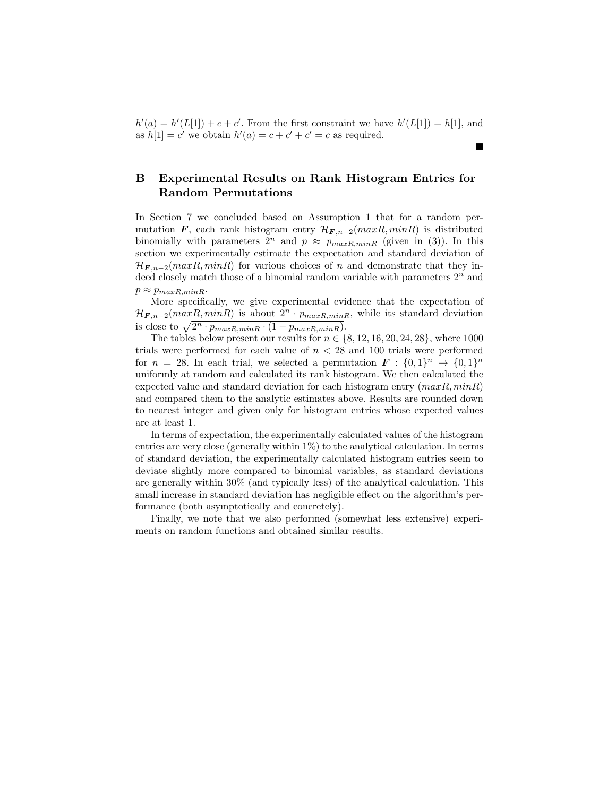$h'(a) = h'(L[1]) + c + c'$ . From the first constraint we have  $h'(L[1]) = h[1]$ , and as  $h[1] = c'$  we obtain  $h'(a) = c + c' + c' = c$  as required.

■

## B Experimental Results on Rank Histogram Entries for Random Permutations

In Section 7 we concluded based on Assumption 1 that for a random permutation F, each rank histogram entry  $\mathcal{H}_{F,n-2}(maxR, minR)$  is distributed binomially with parameters  $2^n$  and  $p \approx p_{maxR,minR}$  (given in (3)). In this section we experimentally estimate the expectation and standard deviation of  $\mathcal{H}_{F, n-2}(maxR, minR)$  for various choices of n and demonstrate that they indeed closely match those of a binomial random variable with parameters  $2<sup>n</sup>$  and  $p \approx p_{maxR,minR}$ .

More specifically, we give experimental evidence that the expectation of  $\mathcal{H}_{F,n-2}(maxR, minR)$  is about  $2^n \cdot p_{maxR,minR}$ , while its standard deviation is close to  $\sqrt{2^n \cdot p_{maxR,minR} \cdot (1 - p_{maxR,minR})}$ .

The tables below present our results for  $n \in \{8, 12, 16, 20, 24, 28\}$ , where 1000 trials were performed for each value of  $n < 28$  and 100 trials were performed for  $n = 28$ . In each trial, we selected a permutation  $\mathbf{F} : \{0,1\}^n \to \{0,1\}^n$ uniformly at random and calculated its rank histogram. We then calculated the expected value and standard deviation for each histogram entry  $(maxR, minR)$ and compared them to the analytic estimates above. Results are rounded down to nearest integer and given only for histogram entries whose expected values are at least 1.

In terms of expectation, the experimentally calculated values of the histogram entries are very close (generally within 1%) to the analytical calculation. In terms of standard deviation, the experimentally calculated histogram entries seem to deviate slightly more compared to binomial variables, as standard deviations are generally within 30% (and typically less) of the analytical calculation. This small increase in standard deviation has negligible effect on the algorithm's performance (both asymptotically and concretely).

Finally, we note that we also performed (somewhat less extensive) experiments on random functions and obtained similar results.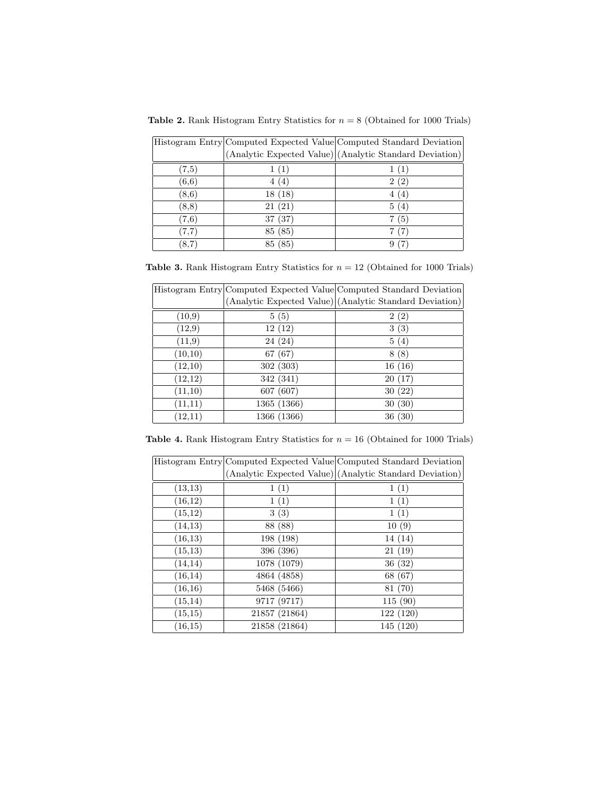Table 2. Rank Histogram Entry Statistics for  $n = 8$  (Obtained for 1000 Trials)

|        |         | Histogram Entry Computed Expected Value Computed Standard Deviation |
|--------|---------|---------------------------------------------------------------------|
|        |         | (Analytic Expected Value) (Analytic Standard Deviation)             |
| (7,5)  |         |                                                                     |
| (6,6)  | 4 (4)   | 2(2)                                                                |
| (8, 6) | 18(18)  | (4)                                                                 |
| (8,8)  | 21(21)  | 5(4)                                                                |
| (7,6)  | 37(37)  | (5)                                                                 |
| (7.7)  | 85 (85) | (7)                                                                 |
| (8,7)  | 85 (85) |                                                                     |

Table 3. Rank Histogram Entry Statistics for  $n = 12$  (Obtained for 1000 Trials)

|          |             | Histogram Entry Computed Expected Value Computed Standard Deviation |
|----------|-------------|---------------------------------------------------------------------|
|          |             | (Analytic Expected Value) (Analytic Standard Deviation)             |
| (10,9)   | 5(5)        | 2(2)                                                                |
| (12,9)   | 12(12)      | 3(3)                                                                |
| (11,9)   | 24(24)      | 5(4)                                                                |
| (10,10)  | 67(67)      | 8(8)                                                                |
| (12,10)  | 302 (303)   | 16(16)                                                              |
| (12,12)  | 342 (341)   | 20(17)                                                              |
| (11,10)  | 607 (607)   | 30(22)                                                              |
| (11, 11) | 1365 (1366) | 30(30)                                                              |
| (12,11)  | 1366 (1366) | 36(30)                                                              |

Table 4. Rank Histogram Entry Statistics for  $n = 16$  (Obtained for 1000 Trials)

|          |               | Histogram Entry Computed Expected Value Computed Standard Deviation |
|----------|---------------|---------------------------------------------------------------------|
|          |               | (Analytic Expected Value) (Analytic Standard Deviation)             |
| (13,13)  | 1(1)          | 1(1)                                                                |
| (16,12)  | 1(1)          | 1(1)                                                                |
| (15,12)  | 3(3)          | 1(1)                                                                |
| (14,13)  | 88 (88)       | 10(9)                                                               |
| (16,13)  | 198 (198)     | 14 (14)                                                             |
| (15,13)  | 396 (396)     | 21(19)                                                              |
| (14, 14) | 1078 (1079)   | 36(32)                                                              |
| (16, 14) | 4864 (4858)   | 68 (67)                                                             |
| (16,16)  | 5468 (5466)   | 81 (70)                                                             |
| (15, 14) | 9717 (9717)   | 115(90)                                                             |
| (15,15)  | 21857 (21864) | 122 (120)                                                           |
| (16,15)  | 21858 (21864) | 145 (120)                                                           |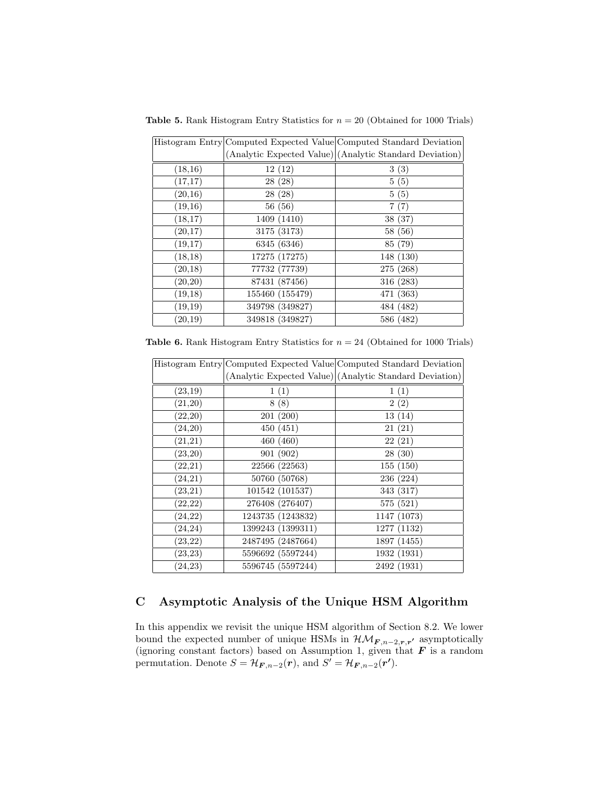Table 5. Rank Histogram Entry Statistics for  $n = 20$  (Obtained for 1000 Trials)

|         |                 | Histogram Entry Computed Expected Value Computed Standard Deviation |
|---------|-----------------|---------------------------------------------------------------------|
|         |                 | (Analytic Expected Value) (Analytic Standard Deviation)             |
| (18,16) | 12(12)          | 3(3)                                                                |
| (17,17) | 28(28)          | 5(5)                                                                |
| (20,16) | 28(28)          | 5(5)                                                                |
| (19,16) | 56 (56)         | 7(7)                                                                |
| (18,17) | 1409 (1410)     | 38 (37)                                                             |
| (20,17) | 3175 (3173)     | 58 (56)                                                             |
| (19,17) | 6345 (6346)     | 85 (79)                                                             |
| (18,18) | 17275 (17275)   | 148 (130)                                                           |
| (20,18) | 77732 (77739)   | 275 (268)                                                           |
| (20,20) | 87431 (87456)   | 316 (283)                                                           |
| (19,18) | 155460 (155479) | 471 (363)                                                           |
| (19,19) | 349798 (349827) | 484 (482)                                                           |
| (20,19) | 349818 (349827) | 586 (482)                                                           |

Table 6. Rank Histogram Entry Statistics for  $n = 24$  (Obtained for 1000 Trials)

|          |                   | Histogram Entry Computed Expected Value Computed Standard Deviation |
|----------|-------------------|---------------------------------------------------------------------|
|          |                   | (Analytic Expected Value) (Analytic Standard Deviation)             |
| (23,19)  | 1(1)              | 1(1)                                                                |
| (21,20)  | 8(8)              | 2(2)                                                                |
| (22,20)  | 201(200)          | 13(14)                                                              |
| (24,20)  | 450 (451)         | 21(21)                                                              |
| (21,21)  | 460 (460)         | 22(21)                                                              |
| (23,20)  | 901 (902)         | 28(30)                                                              |
| (22, 21) | 22566 (22563)     | 155 (150)                                                           |
| (24,21)  | 50760 (50768)     | 236 (224)                                                           |
| (23, 21) | 101542 (101537)   | 343 (317)                                                           |
| (22,22)  | 276408 (276407)   | 575 (521)                                                           |
| (24,22)  | 1243735 (1243832) | 1147 (1073)                                                         |
| (24, 24) | 1399243 (1399311) | 1277 (1132)                                                         |
| (23, 22) | 2487495 (2487664) | 1897 (1455)                                                         |
| (23, 23) | 5596692 (5597244) | 1932 (1931)                                                         |
| (24, 23) | 5596745 (5597244) | 2492 (1931)                                                         |

# C Asymptotic Analysis of the Unique HSM Algorithm

In this appendix we revisit the unique HSM algorithm of Section 8.2. We lower bound the expected number of unique HSMs in  $\mathcal{HM}_{F,n-2,r,r'}$  asymptotically (ignoring constant factors) based on Assumption 1, given that  $\bm{F}$  is a random permutation. Denote  $S = \mathcal{H}_{F,n-2}(r)$ , and  $S' = \mathcal{H}_{F,n-2}(r')$ .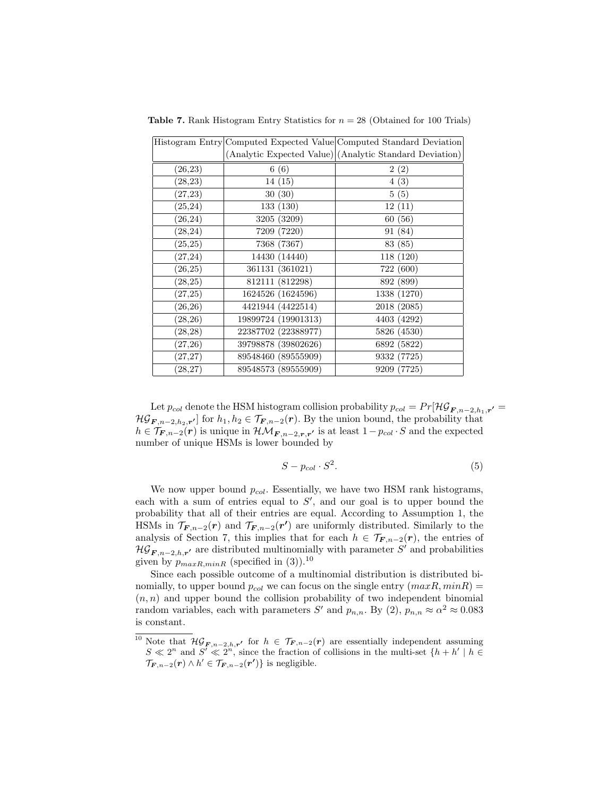|          |                     | Histogram Entry Computed Expected Value Computed Standard Deviation |
|----------|---------------------|---------------------------------------------------------------------|
|          |                     | (Analytic Expected Value) (Analytic Standard Deviation)             |
| (26, 23) | 6(6)                | 2(2)                                                                |
| (28, 23) | 14(15)              | 4(3)                                                                |
| (27, 23) | 30(30)              | 5(5)                                                                |
| (25, 24) | 133(130)            | 12(11)                                                              |
| (26, 24) | 3205 (3209)         | 60(56)                                                              |
| (28, 24) | 7209 (7220)         | 91 (84)                                                             |
| (25, 25) | 7368 (7367)         | 83 (85)                                                             |
| (27, 24) | 14430 (14440)       | 118 (120)                                                           |
| (26, 25) | 361131 (361021)     | 722 (600)                                                           |
| (28,25)  | 812111 (812298)     | 892 (899)                                                           |
| (27, 25) | 1624526 (1624596)   | 1338 (1270)                                                         |
| (26, 26) | 4421944 (4422514)   | 2018 (2085)                                                         |
| (28, 26) | 19899724 (19901313) | 4403 (4292)                                                         |
| (28, 28) | 22387702 (22388977) | 5826 (4530)                                                         |
| (27,26)  | 39798878 (39802626) | 6892 (5822)                                                         |
| (27, 27) | 89548460 (89555909) | 9332 (7725)                                                         |
| (28, 27) | 89548573 (89555909) | 9209 (7725)                                                         |

**Table 7.** Rank Histogram Entry Statistics for  $n = 28$  (Obtained for 100 Trials)

Let  $p_{col}$  denote the HSM histogram collision probability  $p_{col} = Pr[\mathcal{HG}_{F,n-2,h_1,r'}=$  $\mathcal{HG}_{\mathbf{F},n-2,h_2,\mathbf{r'}}$  for  $h_1,h_2 \in \mathcal{T}_{\mathbf{F},n-2}(\mathbf{r})$ . By the union bound, the probability that  $h \in \mathcal{T}_{F,n-2}(r)$  is unique in  $\mathcal{HM}_{F,n-2,r,r'}$  is at least  $1-p_{col} \cdot S$  and the expected number of unique HSMs is lower bounded by

$$
S - p_{col} \cdot S^2. \tag{5}
$$

We now upper bound  $p_{col}$ . Essentially, we have two HSM rank histograms, each with a sum of entries equal to  $S'$ , and our goal is to upper bound the probability that all of their entries are equal. According to Assumption 1, the HSMs in  $\mathcal{T}_{F,n-2}(r)$  and  $\mathcal{T}_{F,n-2}(r')$  are uniformly distributed. Similarly to the analysis of Section 7, this implies that for each  $h \in \mathcal{T}_{F,n-2}(r)$ , the entries of  $\mathcal{HG}_{F,n-2,h,r'}$  are distributed multinomially with parameter S' and probabilities given by  $p_{maxR,minR}$  (specified in (3)).<sup>10</sup>

Since each possible outcome of a multinomial distribution is distributed binomially, to upper bound  $p_{col}$  we can focus on the single entry  $(maxR, minR) =$  $(n, n)$  and upper bound the collision probability of two independent binomial random variables, each with parameters S' and  $p_{n,n}$ . By (2),  $p_{n,n} \approx \alpha^2 \approx 0.083$ is constant.

<sup>&</sup>lt;sup>10</sup> Note that  $\mathcal{HG}_{F,n-2,h,r'}$  for  $h \in \mathcal{T}_{F,n-2}(r)$  are essentially independent assuming  $S \ll 2^n$  and  $S' \ll 2^n$ , since the fraction of collisions in the multi-set  $\{h + h' \mid h \in$  $\mathcal{T}_{\mathbf{F},n-2}(\mathbf{r}) \wedge h' \in \mathcal{T}_{\mathbf{F},n-2}(\mathbf{r'})\}$  is negligible.